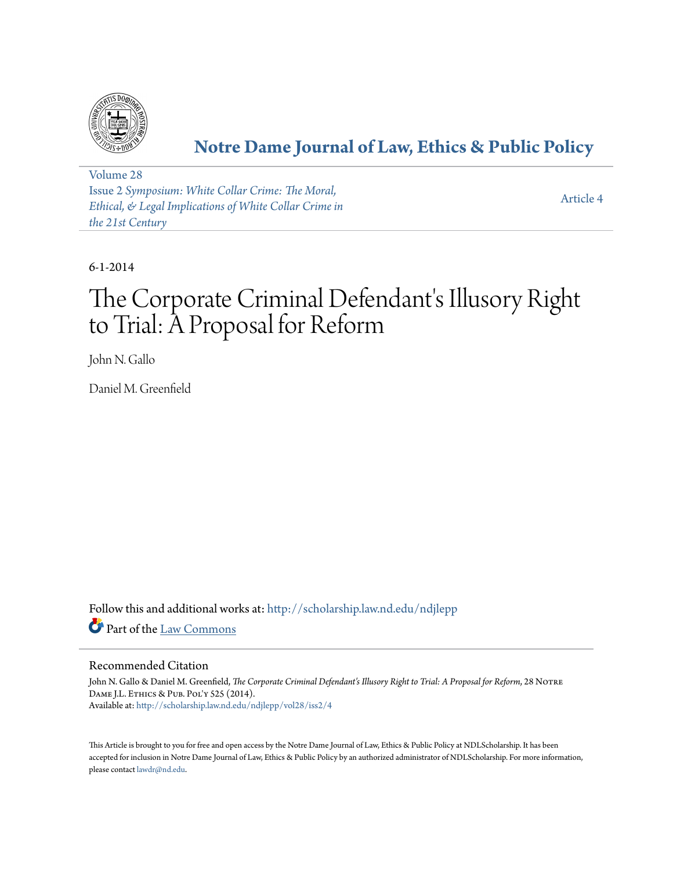

# **[Notre Dame Journal of Law, Ethics & Public Policy](http://scholarship.law.nd.edu/ndjlepp?utm_source=scholarship.law.nd.edu%2Fndjlepp%2Fvol28%2Fiss2%2F4&utm_medium=PDF&utm_campaign=PDFCoverPages)**

[Volume 28](http://scholarship.law.nd.edu/ndjlepp/vol28?utm_source=scholarship.law.nd.edu%2Fndjlepp%2Fvol28%2Fiss2%2F4&utm_medium=PDF&utm_campaign=PDFCoverPages) Issue 2 *[Symposium: White Collar Crime: The Moral,](http://scholarship.law.nd.edu/ndjlepp/vol28/iss2?utm_source=scholarship.law.nd.edu%2Fndjlepp%2Fvol28%2Fiss2%2F4&utm_medium=PDF&utm_campaign=PDFCoverPages) [Ethical, & Legal Implications of White Collar Crime in](http://scholarship.law.nd.edu/ndjlepp/vol28/iss2?utm_source=scholarship.law.nd.edu%2Fndjlepp%2Fvol28%2Fiss2%2F4&utm_medium=PDF&utm_campaign=PDFCoverPages) [the 21st Century](http://scholarship.law.nd.edu/ndjlepp/vol28/iss2?utm_source=scholarship.law.nd.edu%2Fndjlepp%2Fvol28%2Fiss2%2F4&utm_medium=PDF&utm_campaign=PDFCoverPages)*

[Article 4](http://scholarship.law.nd.edu/ndjlepp/vol28/iss2/4?utm_source=scholarship.law.nd.edu%2Fndjlepp%2Fvol28%2Fiss2%2F4&utm_medium=PDF&utm_campaign=PDFCoverPages)

6-1-2014

# The Corporate Criminal Defendant's Illusory Right to Trial: A Proposal for Reform

John N. Gallo

Daniel M. Greenfield

Follow this and additional works at: [http://scholarship.law.nd.edu/ndjlepp](http://scholarship.law.nd.edu/ndjlepp?utm_source=scholarship.law.nd.edu%2Fndjlepp%2Fvol28%2Fiss2%2F4&utm_medium=PDF&utm_campaign=PDFCoverPages) Part of the [Law Commons](http://network.bepress.com/hgg/discipline/578?utm_source=scholarship.law.nd.edu%2Fndjlepp%2Fvol28%2Fiss2%2F4&utm_medium=PDF&utm_campaign=PDFCoverPages)

### Recommended Citation

John N. Gallo & Daniel M. Greenfield, *The Corporate Criminal Defendant's Illusory Right to Trial: A Proposal for Reform*, 28 NOTRE Dame J.L. Ethics & Pub. Pol'y 525 (2014). Available at: [http://scholarship.law.nd.edu/ndjlepp/vol28/iss2/4](http://scholarship.law.nd.edu/ndjlepp/vol28/iss2/4?utm_source=scholarship.law.nd.edu%2Fndjlepp%2Fvol28%2Fiss2%2F4&utm_medium=PDF&utm_campaign=PDFCoverPages)

This Article is brought to you for free and open access by the Notre Dame Journal of Law, Ethics & Public Policy at NDLScholarship. It has been accepted for inclusion in Notre Dame Journal of Law, Ethics & Public Policy by an authorized administrator of NDLScholarship. For more information, please contact [lawdr@nd.edu](mailto:lawdr@nd.edu).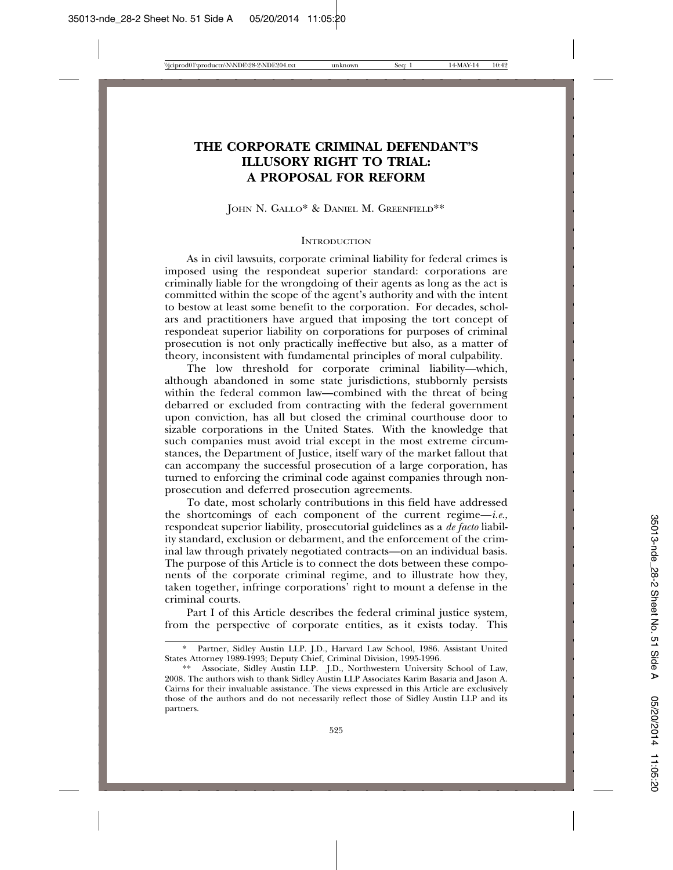## **THE CORPORATE CRIMINAL DEFENDANT'S ILLUSORY RIGHT TO TRIAL: A PROPOSAL FOR REFORM**

JOHN N. GALLO\* & DANIEL M. GREENFIELD\*\*

#### **INTRODUCTION**

As in civil lawsuits, corporate criminal liability for federal crimes is imposed using the respondeat superior standard: corporations are criminally liable for the wrongdoing of their agents as long as the act is committed within the scope of the agent's authority and with the intent to bestow at least some benefit to the corporation. For decades, scholars and practitioners have argued that imposing the tort concept of respondeat superior liability on corporations for purposes of criminal prosecution is not only practically ineffective but also, as a matter of theory, inconsistent with fundamental principles of moral culpability.

The low threshold for corporate criminal liability—which, although abandoned in some state jurisdictions, stubbornly persists within the federal common law—combined with the threat of being debarred or excluded from contracting with the federal government upon conviction, has all but closed the criminal courthouse door to sizable corporations in the United States. With the knowledge that such companies must avoid trial except in the most extreme circumstances, the Department of Justice, itself wary of the market fallout that can accompany the successful prosecution of a large corporation, has turned to enforcing the criminal code against companies through nonprosecution and deferred prosecution agreements.

To date, most scholarly contributions in this field have addressed the shortcomings of each component of the current regime—*i.e.*, respondeat superior liability, prosecutorial guidelines as a *de facto* liability standard, exclusion or debarment, and the enforcement of the criminal law through privately negotiated contracts—on an individual basis. The purpose of this Article is to connect the dots between these components of the corporate criminal regime, and to illustrate how they, taken together, infringe corporations' right to mount a defense in the criminal courts.

Part I of this Article describes the federal criminal justice system, from the perspective of corporate entities, as it exists today. This

Partner, Sidley Austin LLP. J.D., Harvard Law School, 1986. Assistant United States Attorney 1989-1993; Deputy Chief, Criminal Division, 1995-1996.

<sup>\*\*</sup> Associate, Sidley Austin LLP. J.D., Northwestern University School of Law, 2008. The authors wish to thank Sidley Austin LLP Associates Karim Basaria and Jason A. Cairns for their invaluable assistance. The views expressed in this Article are exclusively those of the authors and do not necessarily reflect those of Sidley Austin LLP and its partners.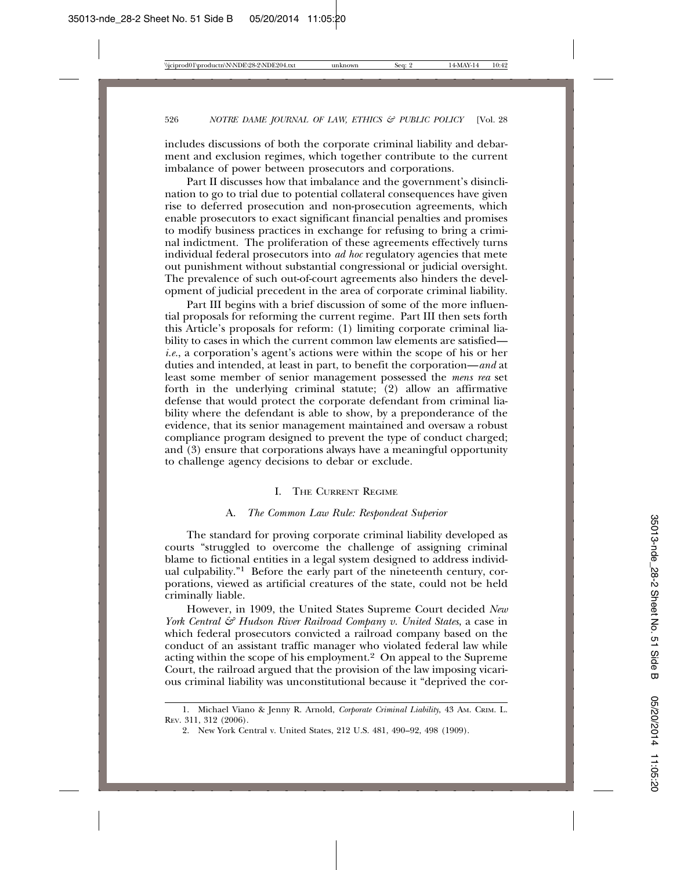includes discussions of both the corporate criminal liability and debarment and exclusion regimes, which together contribute to the current imbalance of power between prosecutors and corporations.

Part II discusses how that imbalance and the government's disinclination to go to trial due to potential collateral consequences have given rise to deferred prosecution and non-prosecution agreements, which enable prosecutors to exact significant financial penalties and promises to modify business practices in exchange for refusing to bring a criminal indictment. The proliferation of these agreements effectively turns individual federal prosecutors into *ad hoc* regulatory agencies that mete out punishment without substantial congressional or judicial oversight. The prevalence of such out-of-court agreements also hinders the development of judicial precedent in the area of corporate criminal liability.

Part III begins with a brief discussion of some of the more influential proposals for reforming the current regime. Part III then sets forth this Article's proposals for reform: (1) limiting corporate criminal liability to cases in which the current common law elements are satisfied *i.e.*, a corporation's agent's actions were within the scope of his or her duties and intended, at least in part, to benefit the corporation—*and* at least some member of senior management possessed the *mens rea* set forth in the underlying criminal statute; (2) allow an affirmative defense that would protect the corporate defendant from criminal liability where the defendant is able to show, by a preponderance of the evidence, that its senior management maintained and oversaw a robust compliance program designed to prevent the type of conduct charged; and (3) ensure that corporations always have a meaningful opportunity to challenge agency decisions to debar or exclude.

#### I. THE CURRENT REGIME

#### A. *The Common Law Rule: Respondeat Superior*

The standard for proving corporate criminal liability developed as courts "struggled to overcome the challenge of assigning criminal blame to fictional entities in a legal system designed to address individual culpability."1 Before the early part of the nineteenth century, corporations, viewed as artificial creatures of the state, could not be held criminally liable.

However, in 1909, the United States Supreme Court decided *New York Central & Hudson River Railroad Company v. United States*, a case in which federal prosecutors convicted a railroad company based on the conduct of an assistant traffic manager who violated federal law while acting within the scope of his employment.2 On appeal to the Supreme Court, the railroad argued that the provision of the law imposing vicarious criminal liability was unconstitutional because it "deprived the cor-

<sup>1.</sup> Michael Viano & Jenny R. Arnold, *Corporate Criminal Liability*, 43 AM. CRIM. L. REV. 311, 312 (2006).

<sup>2.</sup> New York Central v. United States, 212 U.S. 481, 490–92, 498 (1909).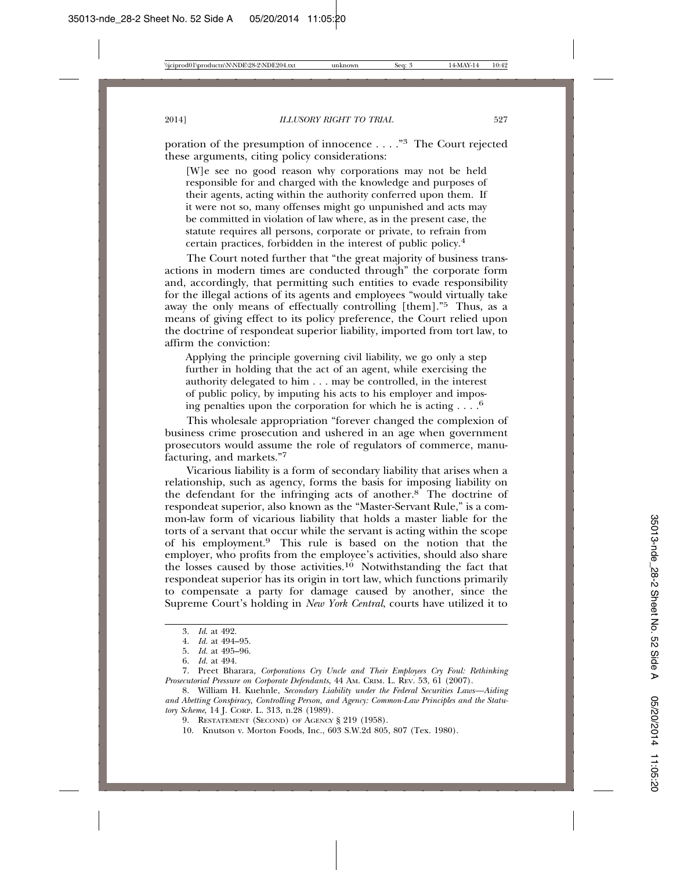poration of the presumption of innocence . . . ."3 The Court rejected these arguments, citing policy considerations:

[W]e see no good reason why corporations may not be held responsible for and charged with the knowledge and purposes of their agents, acting within the authority conferred upon them. If it were not so, many offenses might go unpunished and acts may be committed in violation of law where, as in the present case, the statute requires all persons, corporate or private, to refrain from certain practices, forbidden in the interest of public policy.4

The Court noted further that "the great majority of business transactions in modern times are conducted through" the corporate form and, accordingly, that permitting such entities to evade responsibility for the illegal actions of its agents and employees "would virtually take away the only means of effectually controlling [them]."5 Thus, as a means of giving effect to its policy preference, the Court relied upon the doctrine of respondeat superior liability, imported from tort law, to affirm the conviction:

Applying the principle governing civil liability, we go only a step further in holding that the act of an agent, while exercising the authority delegated to him . . . may be controlled, in the interest of public policy, by imputing his acts to his employer and imposing penalties upon the corporation for which he is acting  $\dots$ .<sup>6</sup>

This wholesale appropriation "forever changed the complexion of business crime prosecution and ushered in an age when government prosecutors would assume the role of regulators of commerce, manufacturing, and markets."7

Vicarious liability is a form of secondary liability that arises when a relationship, such as agency, forms the basis for imposing liability on the defendant for the infringing acts of another.8 The doctrine of respondeat superior, also known as the "Master-Servant Rule," is a common-law form of vicarious liability that holds a master liable for the torts of a servant that occur while the servant is acting within the scope of his employment.9 This rule is based on the notion that the employer, who profits from the employee's activities, should also share the losses caused by those activities.<sup>10</sup> Notwithstanding the fact that respondeat superior has its origin in tort law, which functions primarily to compensate a party for damage caused by another, since the Supreme Court's holding in *New York Central*, courts have utilized it to

<sup>3.</sup> *Id*. at 492.

<sup>4.</sup> *Id.* at 494–95.

<sup>5.</sup> *Id.* at 495–96.

<sup>6.</sup> *Id.* at 494.

<sup>7.</sup> Preet Bharara, *Corporations Cry Uncle and Their Employees Cry Foul: Rethinking Prosecutorial Pressure on Corporate Defendants*, 44 AM. CRIM. L. REV. 53, 61 (2007).

<sup>8.</sup> William H. Kuehnle, *Secondary Liability under the Federal Securities Laws—Aiding and Abetting Conspiracy, Controlling Person, and Agency: Common-Law Principles and the Statutory Scheme*, 14 J. CORP. L. 313, n.28 (1989).

<sup>9.</sup> RESTATEMENT (SECOND) OF AGENCY § 219 (1958).

<sup>10.</sup> Knutson v. Morton Foods, Inc., 603 S.W.2d 805, 807 (Tex. 1980).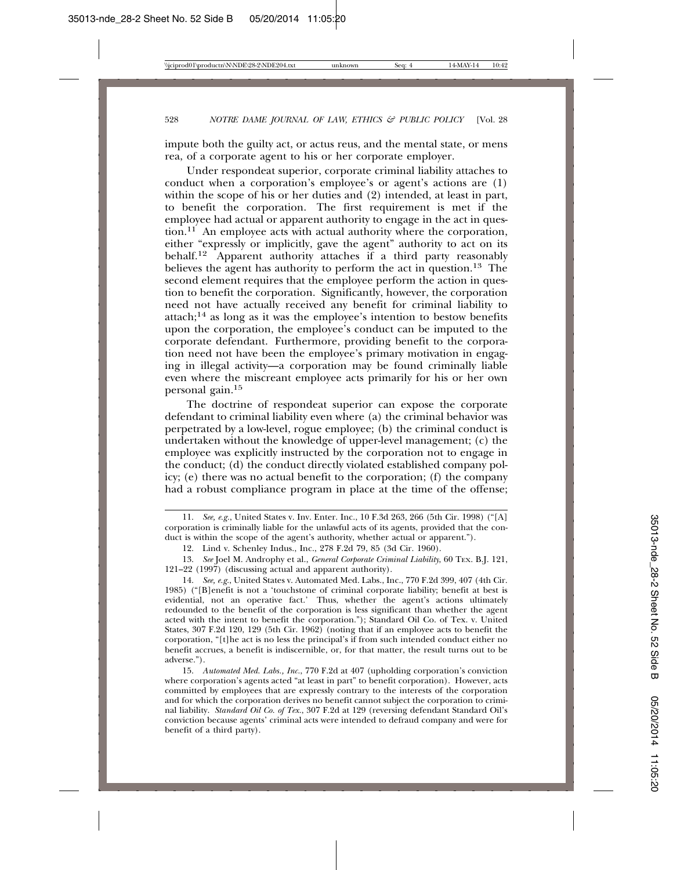impute both the guilty act, or actus reus, and the mental state, or mens rea, of a corporate agent to his or her corporate employer.

Under respondeat superior, corporate criminal liability attaches to conduct when a corporation's employee's or agent's actions are (1) within the scope of his or her duties and (2) intended, at least in part, to benefit the corporation. The first requirement is met if the employee had actual or apparent authority to engage in the act in question.<sup>11</sup> An employee acts with actual authority where the corporation, either "expressly or implicitly, gave the agent" authority to act on its behalf.<sup>12</sup> Apparent authority attaches if a third party reasonably believes the agent has authority to perform the act in question.<sup>13</sup> The second element requires that the employee perform the action in question to benefit the corporation. Significantly, however, the corporation need not have actually received any benefit for criminal liability to attach; $14$  as long as it was the employee's intention to bestow benefits upon the corporation, the employee's conduct can be imputed to the corporate defendant. Furthermore, providing benefit to the corporation need not have been the employee's primary motivation in engaging in illegal activity—a corporation may be found criminally liable even where the miscreant employee acts primarily for his or her own personal gain.15

The doctrine of respondeat superior can expose the corporate defendant to criminal liability even where (a) the criminal behavior was perpetrated by a low-level, rogue employee; (b) the criminal conduct is undertaken without the knowledge of upper-level management; (c) the employee was explicitly instructed by the corporation not to engage in the conduct; (d) the conduct directly violated established company policy; (e) there was no actual benefit to the corporation; (f) the company had a robust compliance program in place at the time of the offense;

<sup>11.</sup> *See, e.g.*, United States v. Inv. Enter. Inc., 10 F.3d 263, 266 (5th Cir. 1998) ("[A] corporation is criminally liable for the unlawful acts of its agents, provided that the conduct is within the scope of the agent's authority, whether actual or apparent.").

<sup>12.</sup> Lind v. Schenley Indus., Inc., 278 F.2d 79, 85 (3d Cir. 1960).

<sup>13.</sup> *See* Joel M. Androphy et al., *General Corporate Criminal Liability*, 60 TEX. B.J. 121, 121–22 (1997) (discussing actual and apparent authority).

<sup>14.</sup> *See, e.g.*, United States v. Automated Med. Labs., Inc., 770 F.2d 399, 407 (4th Cir. 1985) ("[B]enefit is not a 'touchstone of criminal corporate liability; benefit at best is evidential, not an operative fact.' Thus, whether the agent's actions ultimately redounded to the benefit of the corporation is less significant than whether the agent acted with the intent to benefit the corporation."); Standard Oil Co. of Tex. v. United States, 307 F.2d 120, 129 (5th Cir. 1962) (noting that if an employee acts to benefit the corporation, "[t]he act is no less the principal's if from such intended conduct either no benefit accrues, a benefit is indiscernible, or, for that matter, the result turns out to be adverse.").

<sup>15.</sup> *Automated Med. Labs., Inc.*, 770 F.2d at 407 (upholding corporation's conviction where corporation's agents acted "at least in part" to benefit corporation). However, acts committed by employees that are expressly contrary to the interests of the corporation and for which the corporation derives no benefit cannot subject the corporation to criminal liability. *Standard Oil Co. of Tex.*, 307 F.2d at 129 (reversing defendant Standard Oil's conviction because agents' criminal acts were intended to defraud company and were for benefit of a third party).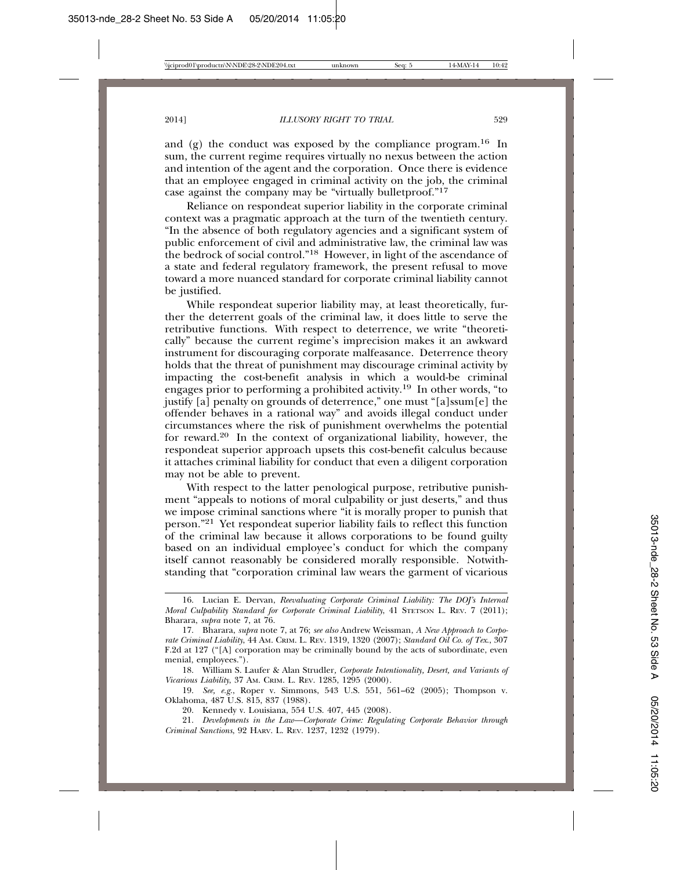and (g) the conduct was exposed by the compliance program.<sup>16</sup> In sum, the current regime requires virtually no nexus between the action and intention of the agent and the corporation. Once there is evidence that an employee engaged in criminal activity on the job, the criminal case against the company may be "virtually bulletproof."17

Reliance on respondeat superior liability in the corporate criminal context was a pragmatic approach at the turn of the twentieth century. "In the absence of both regulatory agencies and a significant system of public enforcement of civil and administrative law, the criminal law was the bedrock of social control."18 However, in light of the ascendance of a state and federal regulatory framework, the present refusal to move toward a more nuanced standard for corporate criminal liability cannot be justified.

While respondeat superior liability may, at least theoretically, further the deterrent goals of the criminal law, it does little to serve the retributive functions. With respect to deterrence, we write "theoretically" because the current regime's imprecision makes it an awkward instrument for discouraging corporate malfeasance. Deterrence theory holds that the threat of punishment may discourage criminal activity by impacting the cost-benefit analysis in which a would-be criminal engages prior to performing a prohibited activity.19 In other words, "to justify [a] penalty on grounds of deterrence," one must "[a]ssum[e] the offender behaves in a rational way" and avoids illegal conduct under circumstances where the risk of punishment overwhelms the potential for reward.20 In the context of organizational liability, however, the respondeat superior approach upsets this cost-benefit calculus because it attaches criminal liability for conduct that even a diligent corporation may not be able to prevent.

With respect to the latter penological purpose, retributive punishment "appeals to notions of moral culpability or just deserts," and thus we impose criminal sanctions where "it is morally proper to punish that person."21 Yet respondeat superior liability fails to reflect this function of the criminal law because it allows corporations to be found guilty based on an individual employee's conduct for which the company itself cannot reasonably be considered morally responsible. Notwithstanding that "corporation criminal law wears the garment of vicarious

<sup>16.</sup> Lucian E. Dervan, *Reevaluating Corporate Criminal Liability: The DOJ's Internal Moral Culpability Standard for Corporate Criminal Liability*, 41 STETSON L. REV. 7 (2011); Bharara, *supra* note 7, at 76.

<sup>17.</sup> Bharara, *supra* note 7, at 76; *see also* Andrew Weissman, *A New Approach to Corporate Criminal Liability*, 44 AM. CRIM. L. REV. 1319, 1320 (2007); *Standard Oil Co. of Tex*., 307 F.2d at 127 ("[A] corporation may be criminally bound by the acts of subordinate, even menial, employees.").

<sup>18.</sup> William S. Laufer & Alan Strudler*, Corporate Intentionality, Desert, and Variants of Vicarious Liability*, 37 AM. CRIM. L. REV. 1285, 1295 (2000).

<sup>19.</sup> *See, e.g.*, Roper v. Simmons, 543 U.S. 551, 561–62 (2005); Thompson v. Oklahoma, 487 U.S. 815, 837 (1988).

<sup>20.</sup> Kennedy v. Louisiana, 554 U.S. 407, 445 (2008).

<sup>21.</sup> *Developments in the Law—Corporate Crime: Regulating Corporate Behavior through Criminal Sanctions*, 92 HARV. L. REV. 1237, 1232 (1979).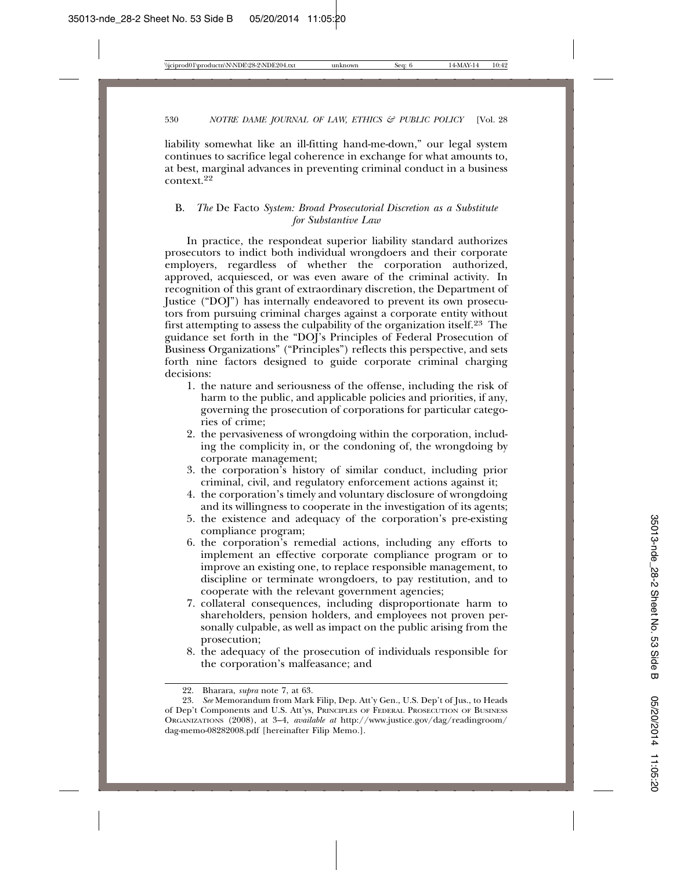liability somewhat like an ill-fitting hand-me-down," our legal system continues to sacrifice legal coherence in exchange for what amounts to, at best, marginal advances in preventing criminal conduct in a business context.<sup>22</sup>

#### B. *The* De Facto *System: Broad Prosecutorial Discretion as a Substitute for Substantive Law*

In practice, the respondeat superior liability standard authorizes prosecutors to indict both individual wrongdoers and their corporate employers, regardless of whether the corporation authorized, approved, acquiesced, or was even aware of the criminal activity. In recognition of this grant of extraordinary discretion, the Department of Justice ("DOJ") has internally endeavored to prevent its own prosecutors from pursuing criminal charges against a corporate entity without first attempting to assess the culpability of the organization itself.23 The guidance set forth in the "DOJ's Principles of Federal Prosecution of Business Organizations" ("Principles") reflects this perspective, and sets forth nine factors designed to guide corporate criminal charging decisions:

- 1. the nature and seriousness of the offense, including the risk of harm to the public, and applicable policies and priorities, if any, governing the prosecution of corporations for particular categories of crime;
- 2. the pervasiveness of wrongdoing within the corporation, including the complicity in, or the condoning of, the wrongdoing by corporate management;
- 3. the corporation's history of similar conduct, including prior criminal, civil, and regulatory enforcement actions against it;
- 4. the corporation's timely and voluntary disclosure of wrongdoing and its willingness to cooperate in the investigation of its agents;
- 5. the existence and adequacy of the corporation's pre-existing compliance program;
- 6. the corporation's remedial actions, including any efforts to implement an effective corporate compliance program or to improve an existing one, to replace responsible management, to discipline or terminate wrongdoers, to pay restitution, and to cooperate with the relevant government agencies;
- 7. collateral consequences, including disproportionate harm to shareholders, pension holders, and employees not proven personally culpable, as well as impact on the public arising from the prosecution;
- 8. the adequacy of the prosecution of individuals responsible for the corporation's malfeasance; and

<sup>22.</sup> Bharara, *supra* note 7, at 63.

<sup>23.</sup> *See* Memorandum from Mark Filip, Dep. Att'y Gen., U.S. Dep't of Jus., to Heads of Dep't Components and U.S. Att'ys, PRINCIPLES OF FEDERAL PROSECUTION OF BUSINESS ORGANIZATIONS (2008), at 3–4, *available at* http://www.justice.gov/dag/readingroom/ dag-memo-08282008.pdf [hereinafter Filip Memo.].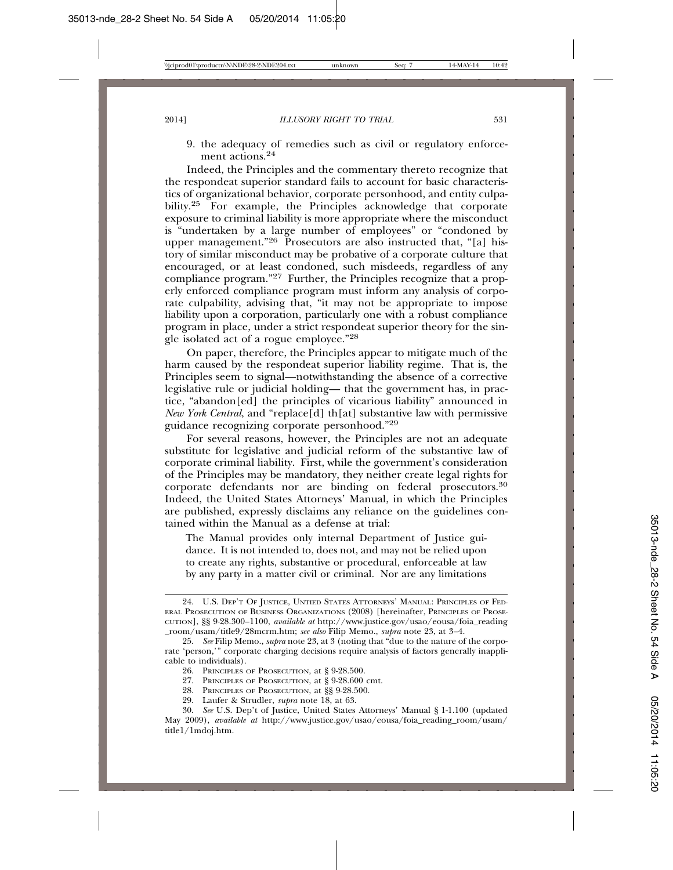9. the adequacy of remedies such as civil or regulatory enforcement actions.<sup>24</sup>

Indeed, the Principles and the commentary thereto recognize that the respondeat superior standard fails to account for basic characteristics of organizational behavior, corporate personhood, and entity culpability.<sup>25</sup> For example, the Principles acknowledge that corporate exposure to criminal liability is more appropriate where the misconduct is "undertaken by a large number of employees" or "condoned by upper management."<sup>26</sup> Prosecutors are also instructed that, "[a] history of similar misconduct may be probative of a corporate culture that encouraged, or at least condoned, such misdeeds, regardless of any compliance program."27 Further, the Principles recognize that a properly enforced compliance program must inform any analysis of corporate culpability, advising that, "it may not be appropriate to impose liability upon a corporation, particularly one with a robust compliance program in place, under a strict respondeat superior theory for the single isolated act of a rogue employee."28

On paper, therefore, the Principles appear to mitigate much of the harm caused by the respondeat superior liability regime. That is, the Principles seem to signal—notwithstanding the absence of a corrective legislative rule or judicial holding— that the government has, in practice, "abandon[ed] the principles of vicarious liability" announced in *New York Central*, and "replace[d] th[at] substantive law with permissive guidance recognizing corporate personhood."29

For several reasons, however, the Principles are not an adequate substitute for legislative and judicial reform of the substantive law of corporate criminal liability. First, while the government's consideration of the Principles may be mandatory, they neither create legal rights for corporate defendants nor are binding on federal prosecutors.30 Indeed, the United States Attorneys' Manual, in which the Principles are published, expressly disclaims any reliance on the guidelines contained within the Manual as a defense at trial:

The Manual provides only internal Department of Justice guidance. It is not intended to, does not, and may not be relied upon to create any rights, substantive or procedural, enforceable at law by any party in a matter civil or criminal. Nor are any limitations

29. Laufer & Strudler, *supra* note 18, at 63.

<sup>24.</sup> U.S. DEP'T OF JUSTICE, UNTIED STATES ATTORNEYS' MANUAL: PRINCIPLES OF FED-ERAL PROSECUTION OF BUSINESS ORGANIZATIONS (2008) [hereinafter, PRINCIPLES OF PROSE-CUTION], §§ 9-28.300–1100, *available at* http://www.justice.gov/usao/eousa/foia\_reading \_room/usam/title9/28mcrm.htm; *see also* Filip Memo., *supra* note 23, at 3–4.

<sup>25.</sup> *See* Filip Memo., *supra* note 23, at 3 (noting that "due to the nature of the corporate 'person,'" corporate charging decisions require analysis of factors generally inapplicable to individuals).

<sup>26.</sup> PRINCIPLES OF PROSECUTION, at § 9-28.500.

<sup>27.</sup> PRINCIPLES OF PROSECUTION, at § 9-28.600 cmt.

<sup>28.</sup> PRINCIPLES OF PROSECUTION, at §§ 9-28.500.

<sup>30.</sup> *See* U.S. Dep't of Justice, United States Attorneys' Manual § 1-1.100 (updated May 2009), *available at* http://www.justice.gov/usao/eousa/foia\_reading\_room/usam/ title1/1mdoj.htm.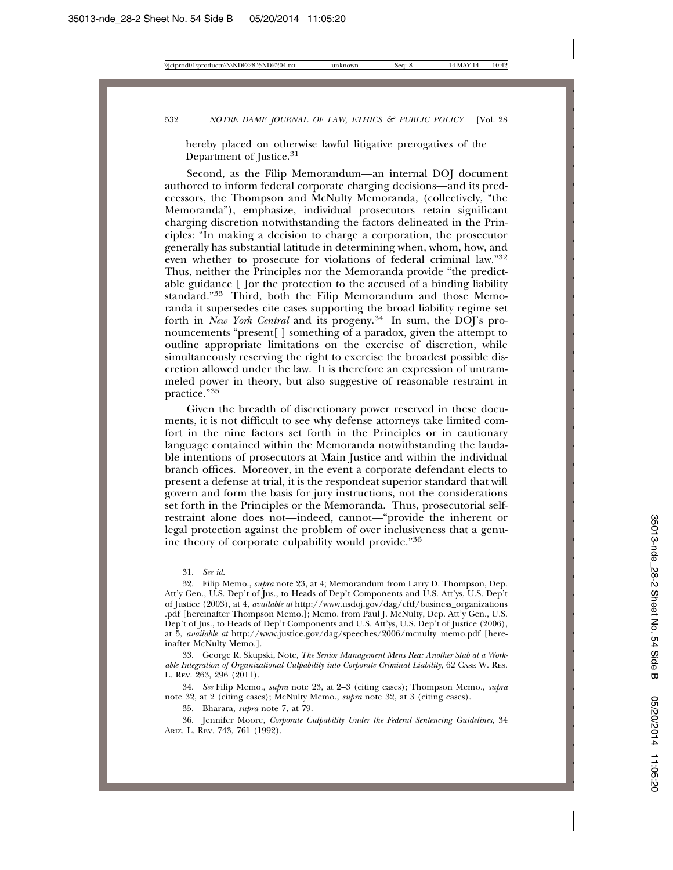hereby placed on otherwise lawful litigative prerogatives of the Department of Justice.<sup>31</sup>

Second, as the Filip Memorandum—an internal DOJ document authored to inform federal corporate charging decisions—and its predecessors, the Thompson and McNulty Memoranda, (collectively, "the Memoranda"), emphasize, individual prosecutors retain significant charging discretion notwithstanding the factors delineated in the Principles: "In making a decision to charge a corporation, the prosecutor generally has substantial latitude in determining when, whom, how, and even whether to prosecute for violations of federal criminal law."32 Thus, neither the Principles nor the Memoranda provide "the predictable guidance [ ]or the protection to the accused of a binding liability standard."33 Third, both the Filip Memorandum and those Memoranda it supersedes cite cases supporting the broad liability regime set forth in *New York Central* and its progeny.<sup>34</sup> In sum, the DOJ's pronouncements "present[ ] something of a paradox, given the attempt to outline appropriate limitations on the exercise of discretion, while simultaneously reserving the right to exercise the broadest possible discretion allowed under the law. It is therefore an expression of untrammeled power in theory, but also suggestive of reasonable restraint in practice."<sup>35</sup>

Given the breadth of discretionary power reserved in these documents, it is not difficult to see why defense attorneys take limited comfort in the nine factors set forth in the Principles or in cautionary language contained within the Memoranda notwithstanding the laudable intentions of prosecutors at Main Justice and within the individual branch offices. Moreover, in the event a corporate defendant elects to present a defense at trial, it is the respondeat superior standard that will govern and form the basis for jury instructions, not the considerations set forth in the Principles or the Memoranda. Thus, prosecutorial selfrestraint alone does not—indeed, cannot—"provide the inherent or legal protection against the problem of over inclusiveness that a genuine theory of corporate culpability would provide."36

35. Bharara, *supra* note 7, at 79.

36. Jennifer Moore, *Corporate Culpability Under the Federal Sentencing Guidelines*, 34 ARIZ. L. REV. 743, 761 (1992).

<sup>31.</sup> *See id.*

<sup>32.</sup> Filip Memo., *supra* note 23, at 4; Memorandum from Larry D. Thompson, Dep. Att'y Gen., U.S. Dep't of Jus., to Heads of Dep't Components and U.S. Att'ys, U.S. Dep't of Justice (2003), at 4, *available at* http://www.usdoj.gov/dag/cftf/business\_organizations .pdf [hereinafter Thompson Memo.]; Memo. from Paul J. McNulty, Dep. Att'y Gen., U.S. Dep't of Jus., to Heads of Dep't Components and U.S. Att'ys, U.S. Dep't of Justice (2006), at 5, *available at* http://www.justice.gov/dag/speeches/2006/mcnulty\_memo.pdf [hereinafter McNulty Memo.].

<sup>33.</sup> George R. Skupski, Note, *The Senior Management Mens Rea: Another Stab at a Workable Integration of Organizational Culpability into Corporate Criminal Liability*, 62 CASE W. RES. L. REV. 263, 296 (2011).

<sup>34.</sup> *See* Filip Memo., *supra* note 23, at 2–3 (citing cases); Thompson Memo., *supra* note 32, at 2 (citing cases); McNulty Memo., *supra* note 32, at 3 (citing cases).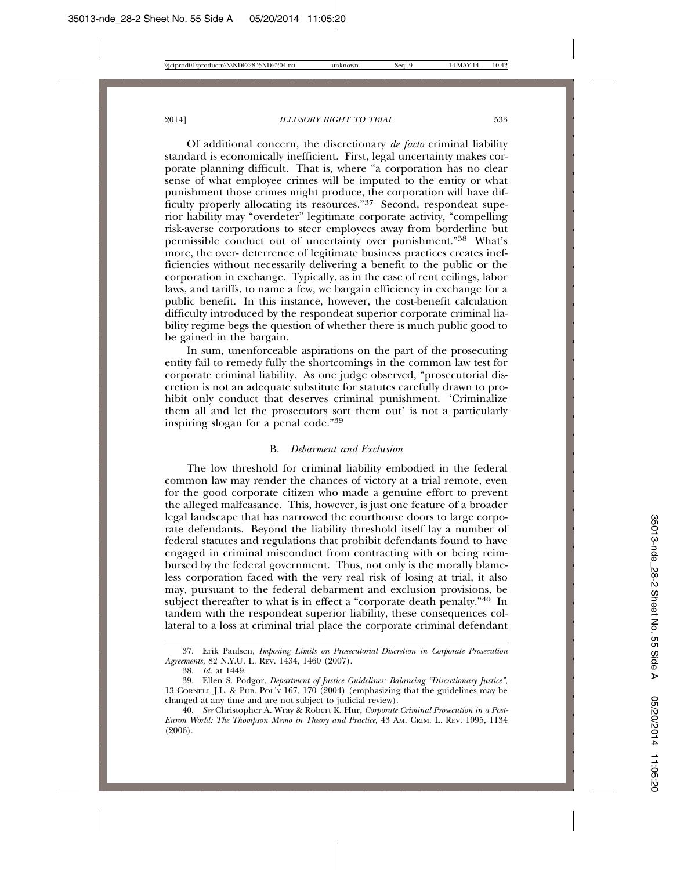Of additional concern, the discretionary *de facto* criminal liability standard is economically inefficient. First, legal uncertainty makes corporate planning difficult. That is, where "a corporation has no clear sense of what employee crimes will be imputed to the entity or what punishment those crimes might produce, the corporation will have difficulty properly allocating its resources."<sup>37</sup> Second, respondeat superior liability may "overdeter" legitimate corporate activity, "compelling risk-averse corporations to steer employees away from borderline but permissible conduct out of uncertainty over punishment."38 What's more, the over- deterrence of legitimate business practices creates inefficiencies without necessarily delivering a benefit to the public or the corporation in exchange. Typically, as in the case of rent ceilings, labor laws, and tariffs, to name a few, we bargain efficiency in exchange for a public benefit. In this instance, however, the cost-benefit calculation difficulty introduced by the respondeat superior corporate criminal liability regime begs the question of whether there is much public good to be gained in the bargain.

In sum, unenforceable aspirations on the part of the prosecuting entity fail to remedy fully the shortcomings in the common law test for corporate criminal liability. As one judge observed, "prosecutorial discretion is not an adequate substitute for statutes carefully drawn to prohibit only conduct that deserves criminal punishment. 'Criminalize them all and let the prosecutors sort them out' is not a particularly inspiring slogan for a penal code."39

#### B. *Debarment and Exclusion*

The low threshold for criminal liability embodied in the federal common law may render the chances of victory at a trial remote, even for the good corporate citizen who made a genuine effort to prevent the alleged malfeasance. This, however, is just one feature of a broader legal landscape that has narrowed the courthouse doors to large corporate defendants. Beyond the liability threshold itself lay a number of federal statutes and regulations that prohibit defendants found to have engaged in criminal misconduct from contracting with or being reimbursed by the federal government. Thus, not only is the morally blameless corporation faced with the very real risk of losing at trial, it also may, pursuant to the federal debarment and exclusion provisions, be subject thereafter to what is in effect a "corporate death penalty."<sup>40</sup> In tandem with the respondeat superior liability, these consequences collateral to a loss at criminal trial place the corporate criminal defendant

<sup>37.</sup> Erik Paulsen, *Imposing Limits on Prosecutorial Discretion in Corporate Prosecution Agreements*, 82 N.Y.U. L. REV. 1434, 1460 (2007).

<sup>38.</sup> *Id.* at 1449.

<sup>39.</sup> Ellen S. Podgor, *Department of Justice Guidelines: Balancing "Discretionary Justice"*, 13 CORNELL J.L. & PUB. POL'Y 167, 170 (2004) (emphasizing that the guidelines may be changed at any time and are not subject to judicial review).

<sup>40.</sup> *See* Christopher A. Wray & Robert K. Hur, *Corporate Criminal Prosecution in a Post-Enron World: The Thompson Memo in Theory and Practice*, 43 AM. CRIM. L. REV. 1095, 1134 (2006).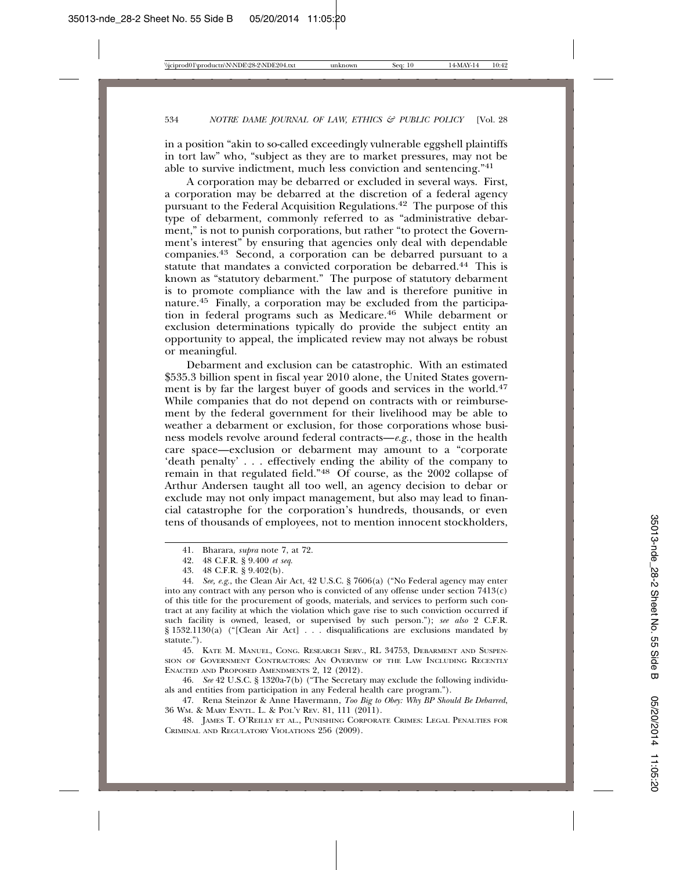in a position "akin to so-called exceedingly vulnerable eggshell plaintiffs in tort law" who, "subject as they are to market pressures, may not be able to survive indictment, much less conviction and sentencing."41

A corporation may be debarred or excluded in several ways. First, a corporation may be debarred at the discretion of a federal agency pursuant to the Federal Acquisition Regulations.42 The purpose of this type of debarment, commonly referred to as "administrative debarment," is not to punish corporations, but rather "to protect the Government's interest" by ensuring that agencies only deal with dependable companies.43 Second, a corporation can be debarred pursuant to a statute that mandates a convicted corporation be debarred.<sup>44</sup> This is known as "statutory debarment." The purpose of statutory debarment is to promote compliance with the law and is therefore punitive in nature.45 Finally, a corporation may be excluded from the participation in federal programs such as Medicare.46 While debarment or exclusion determinations typically do provide the subject entity an opportunity to appeal, the implicated review may not always be robust or meaningful.

Debarment and exclusion can be catastrophic. With an estimated \$535.3 billion spent in fiscal year 2010 alone, the United States government is by far the largest buyer of goods and services in the world.<sup>47</sup> While companies that do not depend on contracts with or reimbursement by the federal government for their livelihood may be able to weather a debarment or exclusion, for those corporations whose business models revolve around federal contracts—*e.g.*, those in the health care space—exclusion or debarment may amount to a "corporate 'death penalty' . . . effectively ending the ability of the company to remain in that regulated field."48 Of course, as the 2002 collapse of Arthur Andersen taught all too well, an agency decision to debar or exclude may not only impact management, but also may lead to financial catastrophe for the corporation's hundreds, thousands, or even tens of thousands of employees, not to mention innocent stockholders,

45. KATE M. MANUEL, CONG. RESEARCH SERV., RL 34753, DEBARMENT AND SUSPEN-SION OF GOVERNMENT CONTRACTORS: AN OVERVIEW OF THE LAW INCLUDING RECENTLY ENACTED AND PROPOSED AMENDMENTS 2, 12 (2012).

46. *See* 42 U.S.C. § 1320a-7(b) ("The Secretary may exclude the following individuals and entities from participation in any Federal health care program.").

47. Rena Steinzor & Anne Havermann, *Too Big to Obey: Why BP Should Be Debarred*, 36 WM. & MARY ENVTL. L. & POL'Y REV. 81, 111 (2011).

48. JAMES T. O'REILLY ET AL., PUNISHING CORPORATE CRIMES: LEGAL PENALTIES FOR CRIMINAL AND REGULATORY VIOLATIONS 256 (2009).

<sup>41.</sup> Bharara, *supra* note 7, at 72.

<sup>42. 48</sup> C.F.R. § 9.400 *et seq.*

<sup>43. 48</sup> C.F.R. § 9.402(b).

<sup>44.</sup> *See, e.g.*, the Clean Air Act, 42 U.S.C. § 7606(a) ("No Federal agency may enter into any contract with any person who is convicted of any offense under section  $7413(c)$ of this title for the procurement of goods, materials, and services to perform such contract at any facility at which the violation which gave rise to such conviction occurred if such facility is owned, leased, or supervised by such person."); *see also* 2 C.F.R. § 1532.1130(a) ("[Clean Air Act] . . . disqualifications are exclusions mandated by statute.").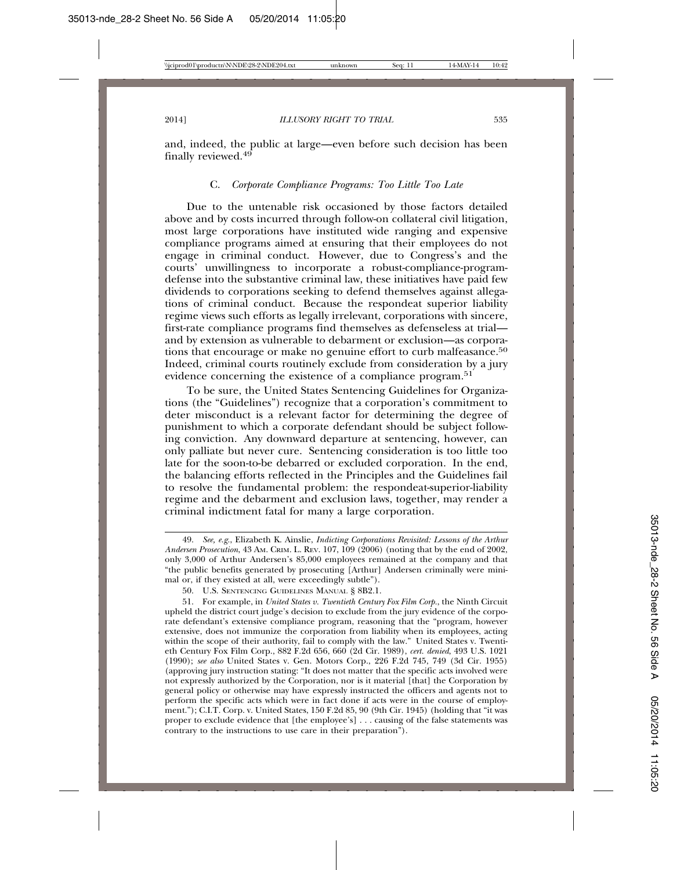and, indeed, the public at large—even before such decision has been finally reviewed.<sup>49</sup>

#### C. *Corporate Compliance Programs: Too Little Too Late*

Due to the untenable risk occasioned by those factors detailed above and by costs incurred through follow-on collateral civil litigation, most large corporations have instituted wide ranging and expensive compliance programs aimed at ensuring that their employees do not engage in criminal conduct. However, due to Congress's and the courts' unwillingness to incorporate a robust-compliance-programdefense into the substantive criminal law, these initiatives have paid few dividends to corporations seeking to defend themselves against allegations of criminal conduct. Because the respondeat superior liability regime views such efforts as legally irrelevant, corporations with sincere, first-rate compliance programs find themselves as defenseless at trial and by extension as vulnerable to debarment or exclusion—as corporations that encourage or make no genuine effort to curb malfeasance.<sup>50</sup> Indeed, criminal courts routinely exclude from consideration by a jury evidence concerning the existence of a compliance program.<sup>51</sup>

To be sure, the United States Sentencing Guidelines for Organizations (the "Guidelines") recognize that a corporation's commitment to deter misconduct is a relevant factor for determining the degree of punishment to which a corporate defendant should be subject following conviction. Any downward departure at sentencing, however, can only palliate but never cure. Sentencing consideration is too little too late for the soon-to-be debarred or excluded corporation. In the end, the balancing efforts reflected in the Principles and the Guidelines fail to resolve the fundamental problem: the respondeat-superior-liability regime and the debarment and exclusion laws, together, may render a criminal indictment fatal for many a large corporation.

<sup>49.</sup> *See, e.g.*, Elizabeth K. Ainslie, *Indicting Corporations Revisited: Lessons of the Arthur Andersen Prosecution*, 43 AM. CRIM. L. REV. 107, 109 (2006) (noting that by the end of 2002, only 3,000 of Arthur Andersen's 85,000 employees remained at the company and that "the public benefits generated by prosecuting [Arthur] Andersen criminally were minimal or, if they existed at all, were exceedingly subtle").

<sup>50.</sup> U.S. SENTENCING GUIDELINES MANUAL § 8B2.1.

<sup>51.</sup> For example, in *United States v. Twentieth Century Fox Film Corp.*, the Ninth Circuit upheld the district court judge's decision to exclude from the jury evidence of the corporate defendant's extensive compliance program, reasoning that the "program, however extensive, does not immunize the corporation from liability when its employees, acting within the scope of their authority, fail to comply with the law." United States v. Twentieth Century Fox Film Corp., 882 F.2d 656, 660 (2d Cir. 1989), *cert. denied*, 493 U.S. 1021 (1990); *see also* United States v. Gen. Motors Corp., 226 F.2d 745, 749 (3d Cir. 1955) (approving jury instruction stating: "It does not matter that the specific acts involved were not expressly authorized by the Corporation, nor is it material [that] the Corporation by general policy or otherwise may have expressly instructed the officers and agents not to perform the specific acts which were in fact done if acts were in the course of employment."); C.I.T. Corp. v. United States, 150 F.2d 85, 90 (9th Cir. 1945) (holding that "it was proper to exclude evidence that [the employee's] . . . causing of the false statements was contrary to the instructions to use care in their preparation").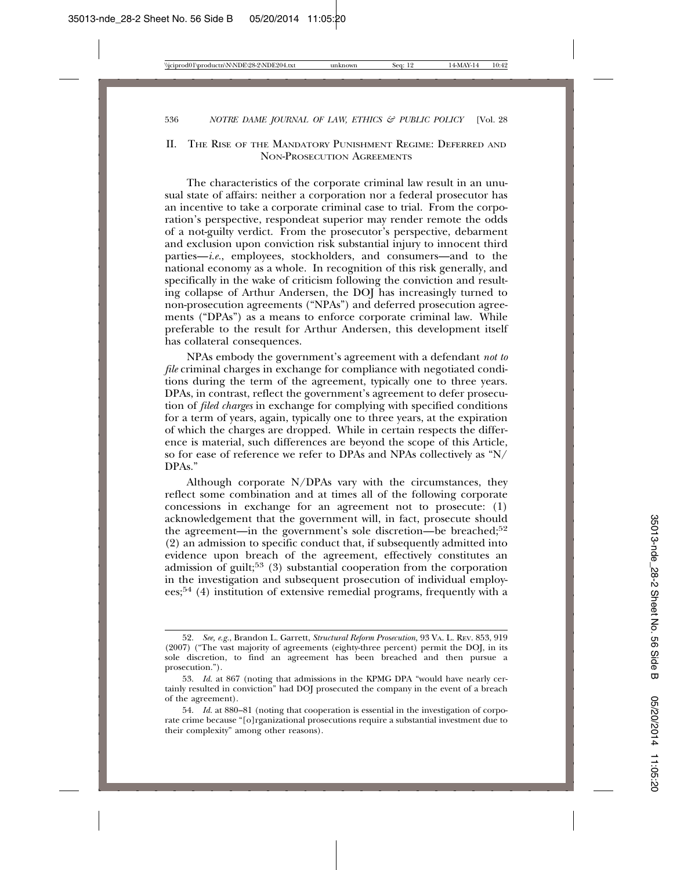#### II. THE RISE OF THE MANDATORY PUNISHMENT REGIME: DEFERRED AND NON-PROSECUTION AGREEMENTS

The characteristics of the corporate criminal law result in an unusual state of affairs: neither a corporation nor a federal prosecutor has an incentive to take a corporate criminal case to trial. From the corporation's perspective, respondeat superior may render remote the odds of a not-guilty verdict. From the prosecutor's perspective, debarment and exclusion upon conviction risk substantial injury to innocent third parties—*i.e.*, employees, stockholders, and consumers—and to the national economy as a whole. In recognition of this risk generally, and specifically in the wake of criticism following the conviction and resulting collapse of Arthur Andersen, the DOJ has increasingly turned to non-prosecution agreements ("NPAs") and deferred prosecution agreements ("DPAs") as a means to enforce corporate criminal law. While preferable to the result for Arthur Andersen, this development itself has collateral consequences.

NPAs embody the government's agreement with a defendant *not to file* criminal charges in exchange for compliance with negotiated conditions during the term of the agreement, typically one to three years. DPAs, in contrast, reflect the government's agreement to defer prosecution of *filed charges* in exchange for complying with specified conditions for a term of years, again, typically one to three years, at the expiration of which the charges are dropped. While in certain respects the difference is material, such differences are beyond the scope of this Article, so for ease of reference we refer to DPAs and NPAs collectively as "N/ DPAs"

Although corporate N/DPAs vary with the circumstances, they reflect some combination and at times all of the following corporate concessions in exchange for an agreement not to prosecute: (1) acknowledgement that the government will, in fact, prosecute should the agreement—in the government's sole discretion—be breached;<sup>52</sup> (2) an admission to specific conduct that, if subsequently admitted into evidence upon breach of the agreement, effectively constitutes an admission of guilt;<sup>53</sup> (3) substantial cooperation from the corporation in the investigation and subsequent prosecution of individual employees;<sup>54</sup> (4) institution of extensive remedial programs, frequently with a

<sup>52.</sup> *See, e.g.*, Brandon L. Garrett, *Structural Reform Prosecution,* 93 VA. L. REV. 853, 919 (2007) ("The vast majority of agreements (eighty-three percent) permit the DOJ, in its sole discretion, to find an agreement has been breached and then pursue a prosecution.").

<sup>53.</sup> *Id.* at 867 (noting that admissions in the KPMG DPA "would have nearly certainly resulted in conviction" had DOJ prosecuted the company in the event of a breach of the agreement).

<sup>54.</sup> *Id.* at 880–81 (noting that cooperation is essential in the investigation of corporate crime because "[o]rganizational prosecutions require a substantial investment due to their complexity" among other reasons).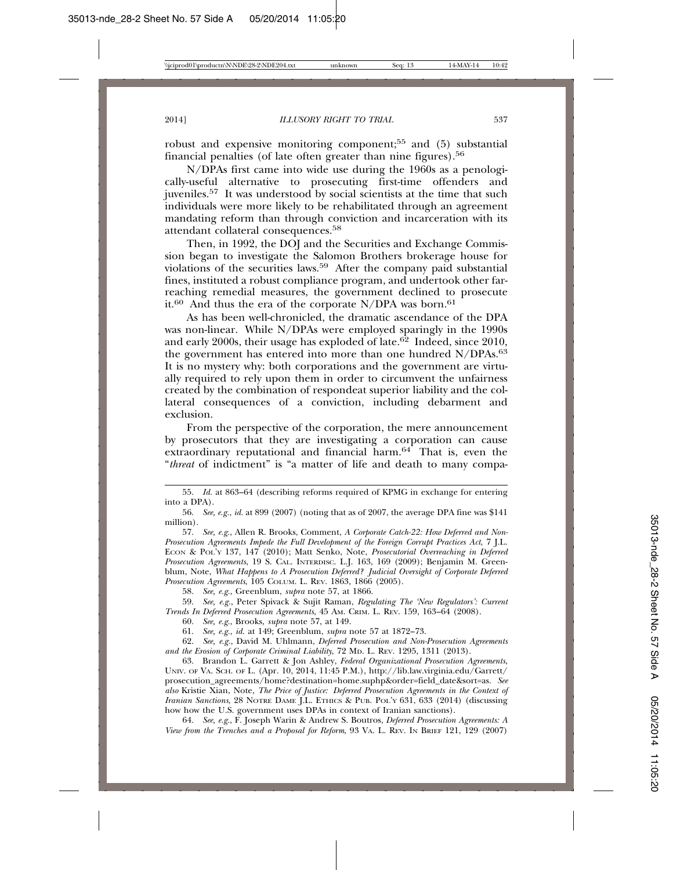robust and expensive monitoring component;55 and (5) substantial financial penalties (of late often greater than nine figures).56

N/DPAs first came into wide use during the 1960s as a penologically-useful alternative to prosecuting first-time offenders and juveniles.57 It was understood by social scientists at the time that such individuals were more likely to be rehabilitated through an agreement mandating reform than through conviction and incarceration with its attendant collateral consequences.58

Then, in 1992, the DOJ and the Securities and Exchange Commission began to investigate the Salomon Brothers brokerage house for violations of the securities laws.59 After the company paid substantial fines, instituted a robust compliance program, and undertook other farreaching remedial measures, the government declined to prosecute it.<sup>60</sup> And thus the era of the corporate N/DPA was born.<sup>61</sup>

As has been well-chronicled, the dramatic ascendance of the DPA was non-linear. While N/DPAs were employed sparingly in the 1990s and early 2000s, their usage has exploded of late.<sup>62</sup> Indeed, since 2010, the government has entered into more than one hundred  $N/DPAs<sup>63</sup>$ It is no mystery why: both corporations and the government are virtually required to rely upon them in order to circumvent the unfairness created by the combination of respondeat superior liability and the collateral consequences of a conviction, including debarment and exclusion.

From the perspective of the corporation, the mere announcement by prosecutors that they are investigating a corporation can cause extraordinary reputational and financial harm.<sup>64</sup> That is, even the "*threat* of indictment" is "a matter of life and death to many compa-

58. *See, e.g.*, Greenblum, *supra* note 57, at 1866.

59. *See, e.g.*, Peter Spivack & Sujit Raman, *Regulating The 'New Regulators': Current Trends In Deferred Prosecution Agreements*, 45 AM. CRIM. L. REV. 159, 163–64 (2008).

60. *See, e.g.*, Brooks, *supra* note 57, at 149.

61. *See, e.g.*, *id.* at 149; Greenblum, *supra* note 57 at 1872–73.

62. *See, e.g.*, David M. Uhlmann, *Deferred Prosecution and Non-Prosecution Agreements and the Erosion of Corporate Criminal Liability*, 72 MD. L. REV. 1295, 1311 (2013).

63. Brandon L. Garrett & Jon Ashley, *Federal Organizational Prosecution Agreements*, UNIV. OF VA. SCH. OF L. (Apr. 10, 2014, 11:45 P.M.), http://lib.law.virginia.edu/Garrett/ prosecution\_agreements/home?destination=home.suphp&order=field\_date&sort=as. *See also* Kristie Xian, Note, *The Price of Justice: Deferred Prosecution Agreements in the Context of Iranian Sanctions*, 28 NOTRE DAME J.L. ETHICS & PUB. POL'Y 631, 633 (2014) (discussing how how the U.S. government uses DPAs in context of Iranian sanctions).

64. *See, e.g.*, F. Joseph Warin & Andrew S. Boutros, *Deferred Prosecution Agreements: A View from the Trenches and a Proposal for Reform*, 93 VA. L. REV. IN BRIEF 121, 129 (2007)

<sup>55.</sup> *Id.* at 863–64 (describing reforms required of KPMG in exchange for entering into a DPA).

<sup>56.</sup> *See, e.g.*, *id.* at 899 (2007) (noting that as of 2007, the average DPA fine was \$141 million).

<sup>57.</sup> *See, e.g.*, Allen R. Brooks, Comment, *A Corporate Catch-22: How Deferred and Non-Prosecution Agreements Impede the Full Development of the Foreign Corrupt Practices Act*, 7 J.L. ECON & POL'Y 137, 147 (2010); Matt Senko, Note, *Prosecutorial Overreaching in Deferred Prosecution Agreements*, 19 S. CAL. INTERDISC. L.J. 163, 169 (2009); Benjamin M. Greenblum, Note, *What Happens to A Prosecution Deferred? Judicial Oversight of Corporate Deferred Prosecution Agreements*, 105 COLUM. L. REV. 1863, 1866 (2005).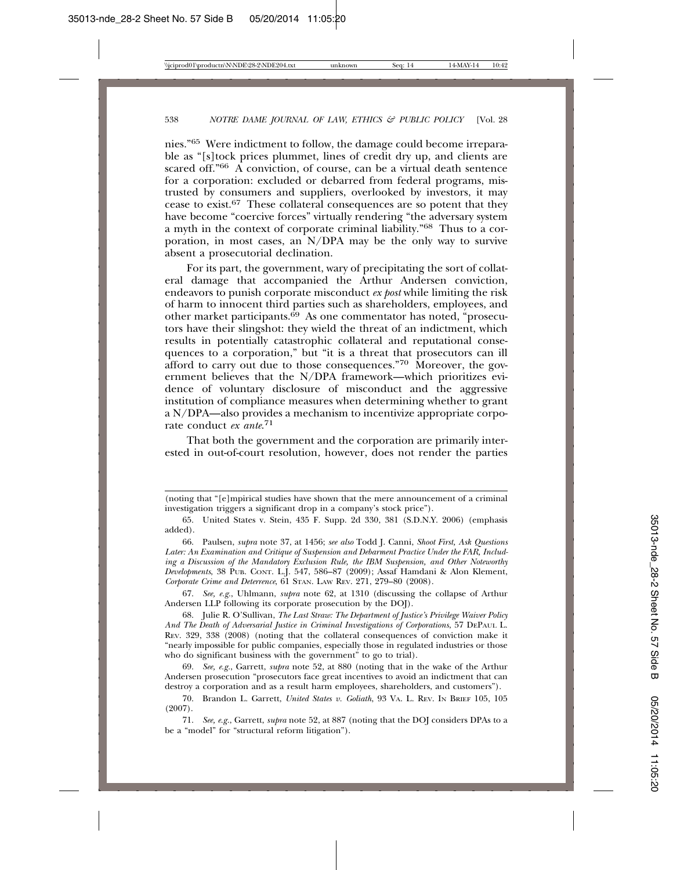nies."65 Were indictment to follow, the damage could become irreparable as "[s]tock prices plummet, lines of credit dry up, and clients are scared off." $66$  A conviction, of course, can be a virtual death sentence for a corporation: excluded or debarred from federal programs, mistrusted by consumers and suppliers, overlooked by investors, it may cease to exist.67 These collateral consequences are so potent that they have become "coercive forces" virtually rendering "the adversary system a myth in the context of corporate criminal liability." $68$  Thus to a corporation, in most cases, an N/DPA may be the only way to survive absent a prosecutorial declination.

For its part, the government, wary of precipitating the sort of collateral damage that accompanied the Arthur Andersen conviction, endeavors to punish corporate misconduct *ex post* while limiting the risk of harm to innocent third parties such as shareholders, employees, and other market participants.69 As one commentator has noted, "prosecutors have their slingshot: they wield the threat of an indictment, which results in potentially catastrophic collateral and reputational consequences to a corporation," but "it is a threat that prosecutors can ill afford to carry out due to those consequences."70 Moreover, the government believes that the N/DPA framework—which prioritizes evidence of voluntary disclosure of misconduct and the aggressive institution of compliance measures when determining whether to grant a N/DPA—also provides a mechanism to incentivize appropriate corporate conduct *ex ante*. 71

That both the government and the corporation are primarily interested in out-of-court resolution, however, does not render the parties

66. Paulsen, *supra* note 37, at 1456; *see also* Todd J. Canni, *Shoot First, Ask Questions Later: An Examination and Critique of Suspension and Debarment Practice Under the FAR, Including a Discussion of the Mandatory Exclusion Rule, the IBM Suspension, and Other Noteworthy Developments*, 38 PUB. CONT. L.J. 547, 586–87 (2009); Assaf Hamdani & Alon Klement, *Corporate Crime and Deterrence*, 61 STAN. LAW REV. 271, 279–80 (2008).

67. *See, e.g.*, Uhlmann, *supra* note 62, at 1310 (discussing the collapse of Arthur Andersen LLP following its corporate prosecution by the DOJ).

68. Julie R. O'Sullivan, *The Last Straw: The Department of Justice's Privilege Waiver Policy And The Death of Adversarial Justice in Criminal Investigations of Corporations*, 57 DEPAUL L. REV. 329, 338 (2008) (noting that the collateral consequences of conviction make it "nearly impossible for public companies, especially those in regulated industries or those who do significant business with the government" to go to trial).

69. *See, e.g.*, Garrett, *supra* note 52, at 880 (noting that in the wake of the Arthur Andersen prosecution "prosecutors face great incentives to avoid an indictment that can destroy a corporation and as a result harm employees, shareholders, and customers").

70. Brandon L. Garrett, *United States v. Goliath*, 93 VA. L. REV. IN BRIEF 105, 105 (2007).

71. *See, e.g.*, Garrett, *supra* note 52, at 887 (noting that the DOJ considers DPAs to a be a "model" for "structural reform litigation").

<sup>(</sup>noting that "[e]mpirical studies have shown that the mere announcement of a criminal investigation triggers a significant drop in a company's stock price").

<sup>65.</sup> United States v. Stein, 435 F. Supp. 2d 330, 381 (S.D.N.Y. 2006) (emphasis added).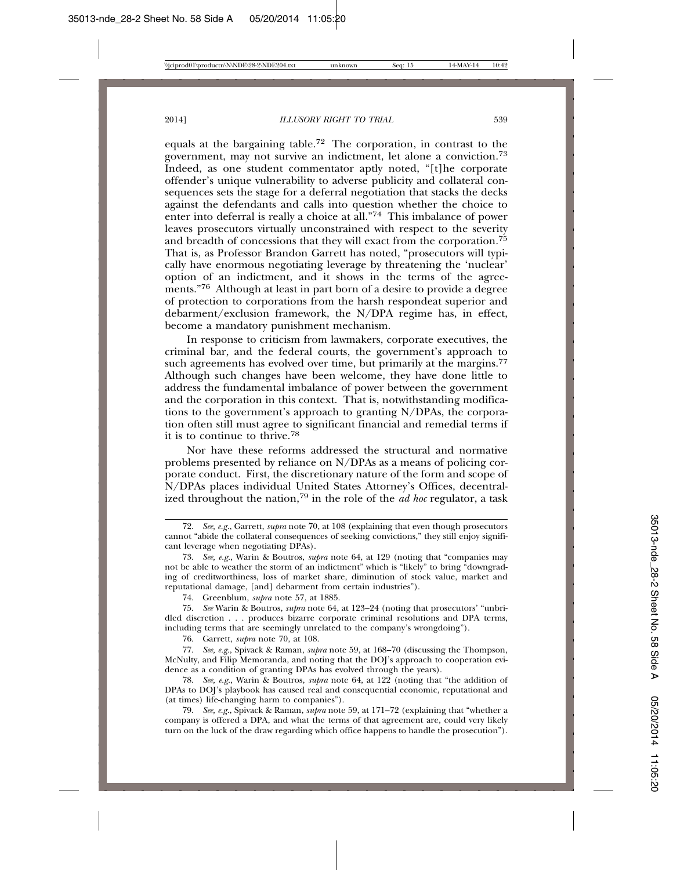equals at the bargaining table.72 The corporation, in contrast to the government, may not survive an indictment, let alone a conviction.<sup>73</sup> Indeed, as one student commentator aptly noted, "[t]he corporate offender's unique vulnerability to adverse publicity and collateral consequences sets the stage for a deferral negotiation that stacks the decks against the defendants and calls into question whether the choice to enter into deferral is really a choice at all."74 This imbalance of power leaves prosecutors virtually unconstrained with respect to the severity and breadth of concessions that they will exact from the corporation.75 That is, as Professor Brandon Garrett has noted, "prosecutors will typically have enormous negotiating leverage by threatening the 'nuclear' option of an indictment, and it shows in the terms of the agreements."<sup>76</sup> Although at least in part born of a desire to provide a degree of protection to corporations from the harsh respondeat superior and debarment/exclusion framework, the N/DPA regime has, in effect, become a mandatory punishment mechanism.

In response to criticism from lawmakers, corporate executives, the criminal bar, and the federal courts, the government's approach to such agreements has evolved over time, but primarily at the margins.<sup>77</sup> Although such changes have been welcome, they have done little to address the fundamental imbalance of power between the government and the corporation in this context. That is, notwithstanding modifications to the government's approach to granting N/DPAs, the corporation often still must agree to significant financial and remedial terms if it is to continue to thrive.78

Nor have these reforms addressed the structural and normative problems presented by reliance on N/DPAs as a means of policing corporate conduct. First, the discretionary nature of the form and scope of N/DPAs places individual United States Attorney's Offices, decentralized throughout the nation,79 in the role of the *ad hoc* regulator, a task

74. Greenblum, *supra* note 57, at 1885.

75. *See* Warin & Boutros, *supra* note 64, at 123–24 (noting that prosecutors' "unbridled discretion . . . produces bizarre corporate criminal resolutions and DPA terms, including terms that are seemingly unrelated to the company's wrongdoing").

76. Garrett, *supra* note 70, at 108.

77. *See, e.g.*, Spivack & Raman, *supra* note 59, at 168–70 (discussing the Thompson, McNulty, and Filip Memoranda, and noting that the DOJ's approach to cooperation evidence as a condition of granting DPAs has evolved through the years).

78. *See, e.g.*, Warin & Boutros, *supra* note 64, at 122 (noting that "the addition of DPAs to DOJ's playbook has caused real and consequential economic, reputational and (at times) life-changing harm to companies").

79. *See, e.g.*, Spivack & Raman, *supra* note 59, at 171–72 (explaining that "whether a company is offered a DPA, and what the terms of that agreement are, could very likely turn on the luck of the draw regarding which office happens to handle the prosecution").

<sup>72.</sup> *See, e.g.*, Garrett, *supra* note 70, at 108 (explaining that even though prosecutors cannot "abide the collateral consequences of seeking convictions," they still enjoy significant leverage when negotiating DPAs).

<sup>73.</sup> *See, e.g.*, Warin & Boutros, *supra* note 64, at 129 (noting that "companies may not be able to weather the storm of an indictment" which is "likely" to bring "downgrading of creditworthiness, loss of market share, diminution of stock value, market and reputational damage, [and] debarment from certain industries").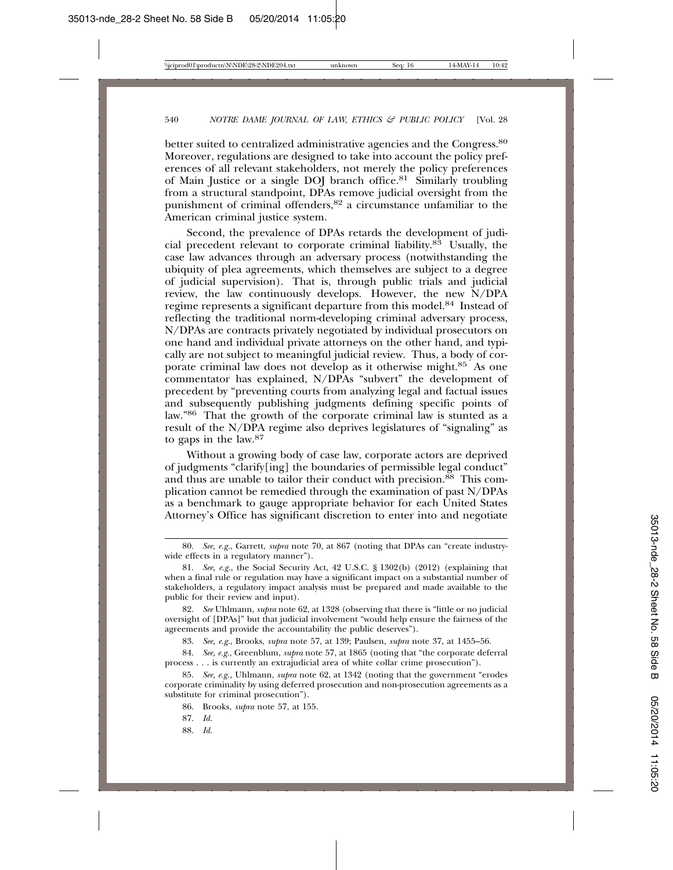better suited to centralized administrative agencies and the Congress.80 Moreover, regulations are designed to take into account the policy preferences of all relevant stakeholders, not merely the policy preferences of Main Justice or a single DOJ branch office.81 Similarly troubling from a structural standpoint, DPAs remove judicial oversight from the punishment of criminal offenders,82 a circumstance unfamiliar to the American criminal justice system.

Second, the prevalence of DPAs retards the development of judicial precedent relevant to corporate criminal liability.83 Usually, the case law advances through an adversary process (notwithstanding the ubiquity of plea agreements, which themselves are subject to a degree of judicial supervision). That is, through public trials and judicial review, the law continuously develops. However, the new N/DPA regime represents a significant departure from this model.84 Instead of reflecting the traditional norm-developing criminal adversary process, N/DPAs are contracts privately negotiated by individual prosecutors on one hand and individual private attorneys on the other hand, and typically are not subject to meaningful judicial review. Thus, a body of corporate criminal law does not develop as it otherwise might.<sup>85</sup> As one commentator has explained, N/DPAs "subvert" the development of precedent by "preventing courts from analyzing legal and factual issues and subsequently publishing judgments defining specific points of law."<sup>86</sup> That the growth of the corporate criminal law is stunted as a result of the N/DPA regime also deprives legislatures of "signaling" as to gaps in the law.87

Without a growing body of case law, corporate actors are deprived of judgments "clarify[ing] the boundaries of permissible legal conduct" and thus are unable to tailor their conduct with precision.<sup>88</sup> This complication cannot be remedied through the examination of past N/DPAs as a benchmark to gauge appropriate behavior for each United States Attorney's Office has significant discretion to enter into and negotiate

82. *See* Uhlmann, *supra* note 62, at 1328 (observing that there is "little or no judicial oversight of [DPAs]" but that judicial involvement "would help ensure the fairness of the agreements and provide the accountability the public deserves").

83. *See, e.g.*, Brooks, *supra* note 57, at 139; Paulsen, *supra* note 37, at 1455–56.

84. *See, e.g.*, Greenblum, *supra* note 57, at 1865 (noting that "the corporate deferral process . . . is currently an extrajudicial area of white collar crime prosecution").

85. *See, e.g.,* Uhlmann, *supra* note 62, at 1342 (noting that the government "erodes corporate criminality by using deferred prosecution and non-prosecution agreements as a substitute for criminal prosecution").

86. Brooks, *supra* note 57, at 155.

88. *Id.*

<sup>80.</sup> *See, e.g.*, Garrett, *supra* note 70, at 867 (noting that DPAs can "create industrywide effects in a regulatory manner").

<sup>81.</sup> *See, e.g.*, the Social Security Act, 42 U.S.C. § 1302(b) (2012) (explaining that when a final rule or regulation may have a significant impact on a substantial number of stakeholders, a regulatory impact analysis must be prepared and made available to the public for their review and input).

<sup>87.</sup> *Id.*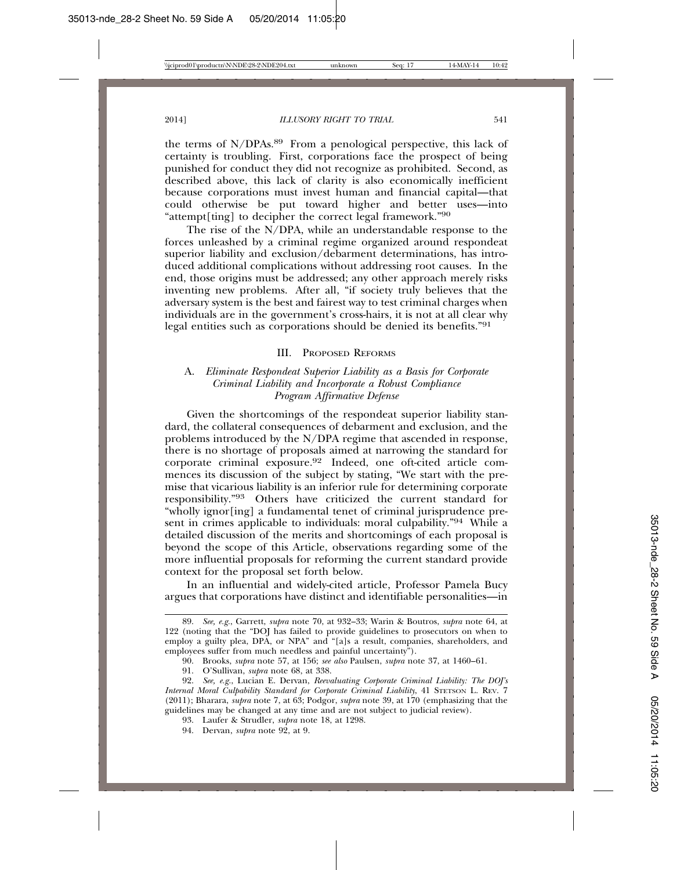the terms of N/DPAs.89 From a penological perspective, this lack of certainty is troubling. First, corporations face the prospect of being punished for conduct they did not recognize as prohibited. Second, as described above, this lack of clarity is also economically inefficient because corporations must invest human and financial capital—that could otherwise be put toward higher and better uses—into "attempt[ting] to decipher the correct legal framework."90

The rise of the N/DPA, while an understandable response to the forces unleashed by a criminal regime organized around respondeat superior liability and exclusion/debarment determinations, has introduced additional complications without addressing root causes. In the end, those origins must be addressed; any other approach merely risks inventing new problems. After all, "if society truly believes that the adversary system is the best and fairest way to test criminal charges when individuals are in the government's cross-hairs, it is not at all clear why legal entities such as corporations should be denied its benefits."91

#### III. PROPOSED REFORMS

#### A. *Eliminate Respondeat Superior Liability as a Basis for Corporate Criminal Liability and Incorporate a Robust Compliance Program Affirmative Defense*

Given the shortcomings of the respondeat superior liability standard, the collateral consequences of debarment and exclusion, and the problems introduced by the N/DPA regime that ascended in response, there is no shortage of proposals aimed at narrowing the standard for corporate criminal exposure.92 Indeed, one oft-cited article commences its discussion of the subject by stating, "We start with the premise that vicarious liability is an inferior rule for determining corporate responsibility."93 Others have criticized the current standard for "wholly ignor[ing] a fundamental tenet of criminal jurisprudence present in crimes applicable to individuals: moral culpability."<sup>94</sup> While a detailed discussion of the merits and shortcomings of each proposal is beyond the scope of this Article, observations regarding some of the more influential proposals for reforming the current standard provide context for the proposal set forth below.

In an influential and widely-cited article, Professor Pamela Bucy argues that corporations have distinct and identifiable personalities—in

92. *See, e.g.*, Lucian E. Dervan, *Reevaluating Corporate Criminal Liability: The DOJ's Internal Moral Culpability Standard for Corporate Criminal Liability*, 41 STETSON L. REV. 7 (2011); Bharara, *supra* note 7, at 63; Podgor, *supra* note 39, at 170 (emphasizing that the guidelines may be changed at any time and are not subject to judicial review).

94. Dervan, *supra* note 92, at 9.

<sup>89.</sup> *See, e.g.*, Garrett, *supra* note 70, at 932–33; Warin & Boutros, *supra* note 64, at 122 (noting that the "DOJ has failed to provide guidelines to prosecutors on when to employ a guilty plea, DPA, or NPA" and "[a]s a result, companies, shareholders, and employees suffer from much needless and painful uncertainty").

<sup>90.</sup> Brooks, *supra* note 57, at 156; *see also* Paulsen, *supra* note 37, at 1460–61.

<sup>91.</sup> O'Sullivan, *supra* note 68, at 338.

<sup>93.</sup> Laufer & Strudler, *supra* note 18, at 1298.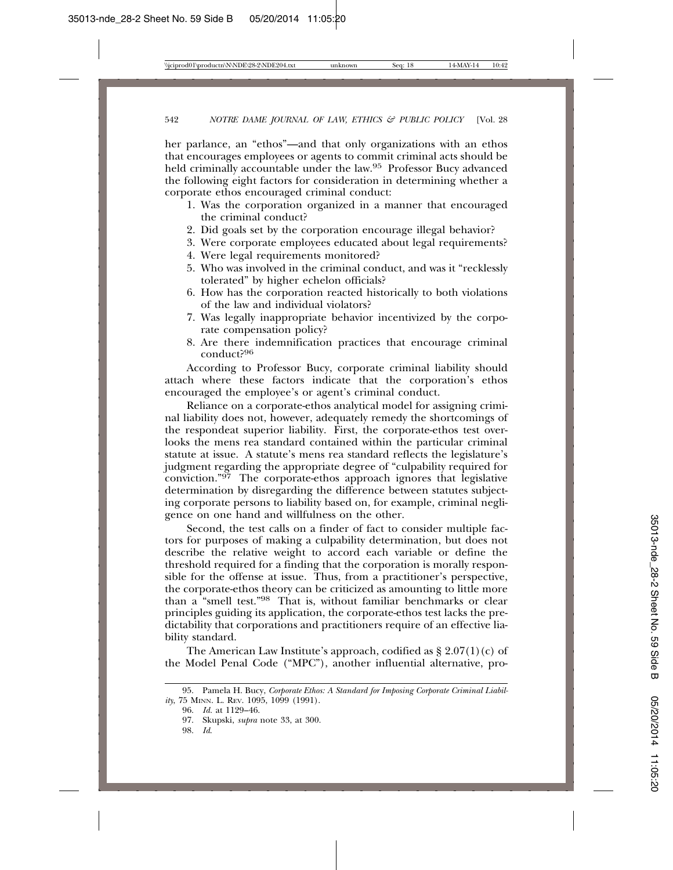her parlance, an "ethos"—and that only organizations with an ethos that encourages employees or agents to commit criminal acts should be held criminally accountable under the law.<sup>95</sup> Professor Bucy advanced the following eight factors for consideration in determining whether a corporate ethos encouraged criminal conduct:

- 1. Was the corporation organized in a manner that encouraged the criminal conduct?
- 2. Did goals set by the corporation encourage illegal behavior?
- 3. Were corporate employees educated about legal requirements?
- 4. Were legal requirements monitored?
- 5. Who was involved in the criminal conduct, and was it "recklessly tolerated" by higher echelon officials?
- 6. How has the corporation reacted historically to both violations of the law and individual violators?
- 7. Was legally inappropriate behavior incentivized by the corporate compensation policy?
- 8. Are there indemnification practices that encourage criminal conduct?<sup>96</sup>

According to Professor Bucy, corporate criminal liability should attach where these factors indicate that the corporation's ethos encouraged the employee's or agent's criminal conduct.

Reliance on a corporate-ethos analytical model for assigning criminal liability does not, however, adequately remedy the shortcomings of the respondeat superior liability. First, the corporate-ethos test overlooks the mens rea standard contained within the particular criminal statute at issue. A statute's mens rea standard reflects the legislature's judgment regarding the appropriate degree of "culpability required for conviction."97 The corporate-ethos approach ignores that legislative determination by disregarding the difference between statutes subjecting corporate persons to liability based on, for example, criminal negligence on one hand and willfulness on the other.

Second, the test calls on a finder of fact to consider multiple factors for purposes of making a culpability determination, but does not describe the relative weight to accord each variable or define the threshold required for a finding that the corporation is morally responsible for the offense at issue. Thus, from a practitioner's perspective, the corporate-ethos theory can be criticized as amounting to little more than a "smell test."98 That is, without familiar benchmarks or clear principles guiding its application, the corporate-ethos test lacks the predictability that corporations and practitioners require of an effective liability standard.

The American Law Institute's approach, codified as  $\S 2.07(1)(c)$  of the Model Penal Code ("MPC"), another influential alternative, pro-

<sup>95.</sup> Pamela H. Bucy, *Corporate Ethos: A Standard for Imposing Corporate Criminal Liability*, 75 MINN. L. REV. 1095, 1099 (1991).

<sup>96.</sup> *Id.* at 1129–46.

<sup>97.</sup> Skupski, *supra* note 33, at 300.

<sup>98.</sup> *Id*.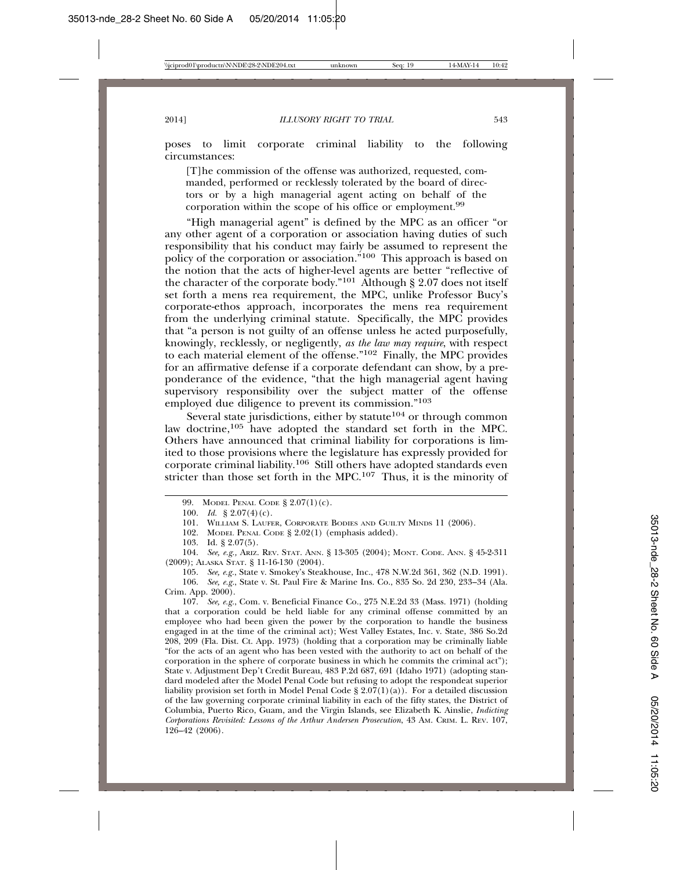poses to limit corporate criminal liability to the following circumstances:

[T]he commission of the offense was authorized, requested, commanded, performed or recklessly tolerated by the board of directors or by a high managerial agent acting on behalf of the corporation within the scope of his office or employment.99

"High managerial agent" is defined by the MPC as an officer "or any other agent of a corporation or association having duties of such responsibility that his conduct may fairly be assumed to represent the policy of the corporation or association."100 This approach is based on the notion that the acts of higher-level agents are better "reflective of the character of the corporate body."101 Although § 2.07 does not itself set forth a mens rea requirement, the MPC, unlike Professor Bucy's corporate-ethos approach, incorporates the mens rea requirement from the underlying criminal statute. Specifically, the MPC provides that "a person is not guilty of an offense unless he acted purposefully, knowingly, recklessly, or negligently, *as the law may require*, with respect to each material element of the offense."102 Finally, the MPC provides for an affirmative defense if a corporate defendant can show, by a preponderance of the evidence, "that the high managerial agent having supervisory responsibility over the subject matter of the offense employed due diligence to prevent its commission."103

Several state jurisdictions, either by statute<sup>104</sup> or through common law doctrine,105 have adopted the standard set forth in the MPC. Others have announced that criminal liability for corporations is limited to those provisions where the legislature has expressly provided for corporate criminal liability.106 Still others have adopted standards even stricter than those set forth in the MPC.<sup>107</sup> Thus, it is the minority of

104. *See, e.g.,* ARIZ. REV. STAT. ANN. § 13-305 (2004); MONT. CODE. ANN. § 45-2-311 (2009); ALASKA STAT. § 11-16-130 (2004).

105. *See, e.g.*, State v. Smokey's Steakhouse, Inc., 478 N.W.2d 361, 362 (N.D. 1991).

106. *See, e.g.*, State v. St. Paul Fire & Marine Ins. Co., 835 So. 2d 230, 233–34 (Ala. Crim. App. 2000).

107. *See, e.g.*, Com. v. Beneficial Finance Co., 275 N.E.2d 33 (Mass. 1971) (holding that a corporation could be held liable for any criminal offense committed by an employee who had been given the power by the corporation to handle the business engaged in at the time of the criminal act); West Valley Estates, Inc. v. State, 386 So.2d 208, 209 (Fla. Dist. Ct. App. 1973) (holding that a corporation may be criminally liable "for the acts of an agent who has been vested with the authority to act on behalf of the corporation in the sphere of corporate business in which he commits the criminal act"); State v. Adjustment Dep't Credit Bureau, 483 P.2d 687, 691 (Idaho 1971) (adopting standard modeled after the Model Penal Code but refusing to adopt the respondeat superior liability provision set forth in Model Penal Code §  $2.07(1)(a)$ ). For a detailed discussion of the law governing corporate criminal liability in each of the fifty states, the District of Columbia, Puerto Rico, Guam, and the Virgin Islands, see Elizabeth K. Ainslie, *Indicting Corporations Revisited: Lessons of the Arthur Andersen Prosecution*, 43 AM. CRIM. L. REV. 107, 126–42 (2006).

<sup>99.</sup> MODEL PENAL CODE § 2.07(1)(c).

<sup>100.</sup> *Id.* § 2.07(4)(c).<br>101. William S. Lauff

WILLIAM S. LAUFER, CORPORATE BODIES AND GUILTY MINDS 11 (2006).

<sup>102.</sup> MODEL PENAL CODE § 2.02(1) (emphasis added).<br>103. Id. § 2.07(5).

Id.  $§ 2.07(5)$ .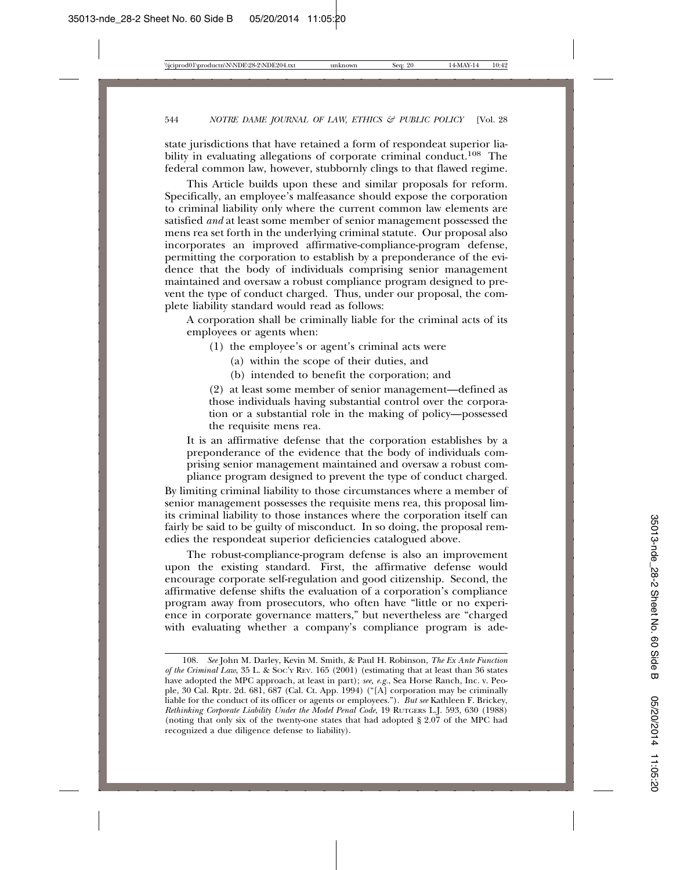state jurisdictions that have retained a form of respondeat superior liability in evaluating allegations of corporate criminal conduct.<sup>108</sup> The federal common law, however, stubbornly clings to that flawed regime.

This Article builds upon these and similar proposals for reform. Specifically, an employee's malfeasance should expose the corporation to criminal liability only where the current common law elements are satisfied *and* at least some member of senior management possessed the mens rea set forth in the underlying criminal statute. Our proposal also incorporates an improved affirmative-compliance-program defense, permitting the corporation to establish by a preponderance of the evidence that the body of individuals comprising senior management maintained and oversaw a robust compliance program designed to prevent the type of conduct charged. Thus, under our proposal, the complete liability standard would read as follows:

A corporation shall be criminally liable for the criminal acts of its employees or agents when:

- (1) the employee's or agent's criminal acts were
	- (a) within the scope of their duties, and
	- (b) intended to benefit the corporation; and

(2) at least some member of senior management—defined as those individuals having substantial control over the corporation or a substantial role in the making of policy—possessed the requisite mens rea.

It is an affirmative defense that the corporation establishes by a preponderance of the evidence that the body of individuals comprising senior management maintained and oversaw a robust compliance program designed to prevent the type of conduct charged.

By limiting criminal liability to those circumstances where a member of senior management possesses the requisite mens rea, this proposal limits criminal liability to those instances where the corporation itself can fairly be said to be guilty of misconduct. In so doing, the proposal remedies the respondeat superior deficiencies catalogued above.

The robust-compliance-program defense is also an improvement upon the existing standard. First, the affirmative defense would encourage corporate self-regulation and good citizenship. Second, the affirmative defense shifts the evaluation of a corporation's compliance program away from prosecutors, who often have "little or no experience in corporate governance matters," but nevertheless are "charged with evaluating whether a company's compliance program is ade-

<sup>108.</sup> *See* John M. Darley, Kevin M. Smith, & Paul H. Robinson, *The Ex Ante Function of the Criminal Law*, 35 L. & SOC'Y REV. 165 (2001) (estimating that at least than 36 states have adopted the MPC approach, at least in part); *see, e.g.*, Sea Horse Ranch, Inc. v. People, 30 Cal. Rptr. 2d. 681, 687 (Cal. Ct. App. 1994) ("[A] corporation may be criminally liable for the conduct of its officer or agents or employees."). *But see* Kathleen F. Brickey, *Rethinking Corporate Liability Under the Model Penal Code*, 19 RUTGERS L.J. 593, 630 (1988) (noting that only six of the twenty-one states that had adopted § 2.07 of the MPC had recognized a due diligence defense to liability).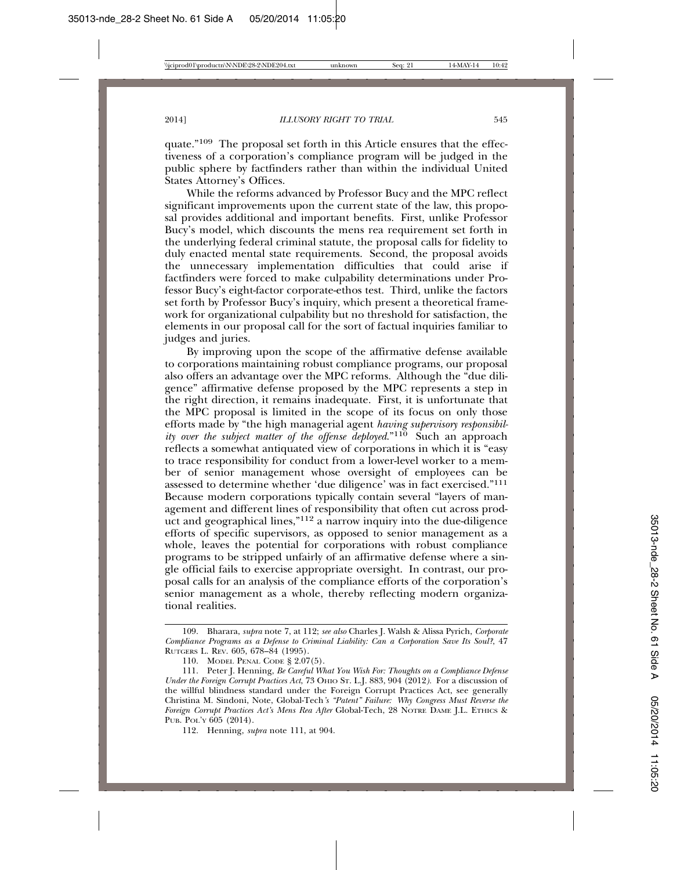quate."109 The proposal set forth in this Article ensures that the effectiveness of a corporation's compliance program will be judged in the public sphere by factfinders rather than within the individual United States Attorney's Offices.

While the reforms advanced by Professor Bucy and the MPC reflect significant improvements upon the current state of the law, this proposal provides additional and important benefits. First, unlike Professor Bucy's model, which discounts the mens rea requirement set forth in the underlying federal criminal statute, the proposal calls for fidelity to duly enacted mental state requirements. Second, the proposal avoids the unnecessary implementation difficulties that could arise if factfinders were forced to make culpability determinations under Professor Bucy's eight-factor corporate-ethos test. Third, unlike the factors set forth by Professor Bucy's inquiry, which present a theoretical framework for organizational culpability but no threshold for satisfaction, the elements in our proposal call for the sort of factual inquiries familiar to judges and juries.

By improving upon the scope of the affirmative defense available to corporations maintaining robust compliance programs, our proposal also offers an advantage over the MPC reforms. Although the "due diligence" affirmative defense proposed by the MPC represents a step in the right direction, it remains inadequate. First, it is unfortunate that the MPC proposal is limited in the scope of its focus on only those efforts made by "the high managerial agent *having supervisory responsibility over the subject matter of the offense deployed.*"<sup>110</sup> Such an approach reflects a somewhat antiquated view of corporations in which it is "easy to trace responsibility for conduct from a lower-level worker to a member of senior management whose oversight of employees can be assessed to determine whether 'due diligence' was in fact exercised."111 Because modern corporations typically contain several "layers of management and different lines of responsibility that often cut across product and geographical lines,"112 a narrow inquiry into the due-diligence efforts of specific supervisors, as opposed to senior management as a whole, leaves the potential for corporations with robust compliance programs to be stripped unfairly of an affirmative defense where a single official fails to exercise appropriate oversight. In contrast, our proposal calls for an analysis of the compliance efforts of the corporation's senior management as a whole, thereby reflecting modern organizational realities.

<sup>109.</sup> Bharara, *supra* note 7, at 112; *see also* Charles J. Walsh & Alissa Pyrich, *Corporate Compliance Programs as a Defense to Criminal Liability: Can a Corporation Save Its Soul?*, 47 RUTGERS L. REV. 605, 678–84 (1995).

<sup>110.</sup> MODEL PENAL CODE § 2.07(5).

<sup>111.</sup> Peter J. Henning, *Be Careful What You Wish For: Thoughts on a Compliance Defense Under the Foreign Corrupt Practices Act*, 73 OHIO ST. L.J. 883, 904 (2012*).* For a discussion of the willful blindness standard under the Foreign Corrupt Practices Act, see generally Christina M. Sindoni, Note, Global-Tech*'s "Patent" Failure: Why Congress Must Reverse the Foreign Corrupt Practices Act's Mens Rea After* Global-Tech, 28 NOTRE DAME J.L. ETHICS & PUB. POL'Y 605 (2014).

<sup>112.</sup> Henning, *supra* note 111, at 904.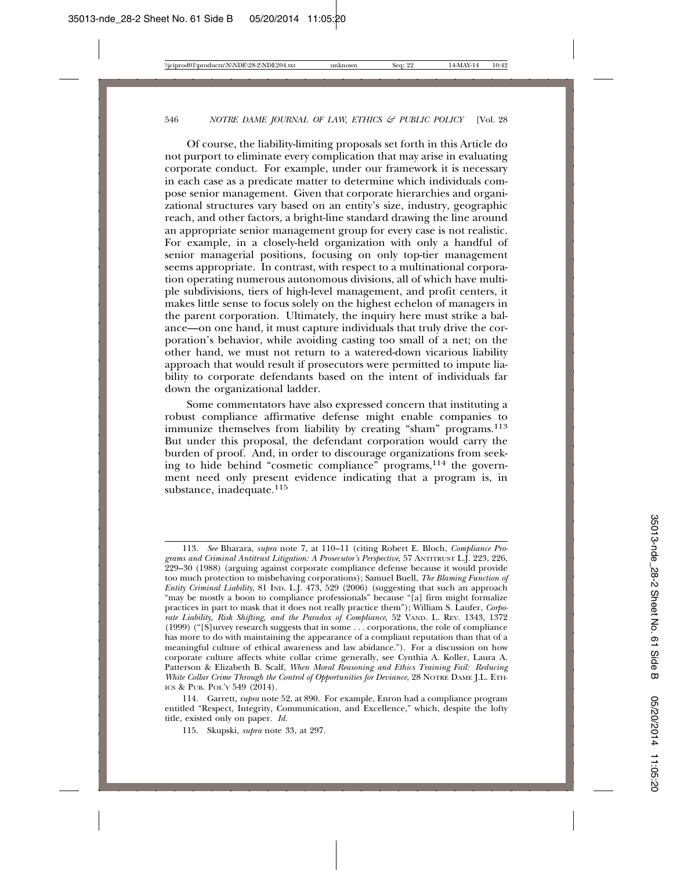Of course, the liability-limiting proposals set forth in this Article do not purport to eliminate every complication that may arise in evaluating corporate conduct. For example, under our framework it is necessary in each case as a predicate matter to determine which individuals compose senior management. Given that corporate hierarchies and organizational structures vary based on an entity's size, industry, geographic reach, and other factors, a bright-line standard drawing the line around an appropriate senior management group for every case is not realistic. For example, in a closely-held organization with only a handful of senior managerial positions, focusing on only top-tier management seems appropriate. In contrast, with respect to a multinational corporation operating numerous autonomous divisions, all of which have multiple subdivisions, tiers of high-level management, and profit centers, it makes little sense to focus solely on the highest echelon of managers in the parent corporation. Ultimately, the inquiry here must strike a balance—on one hand, it must capture individuals that truly drive the corporation's behavior, while avoiding casting too small of a net; on the other hand, we must not return to a watered-down vicarious liability approach that would result if prosecutors were permitted to impute liability to corporate defendants based on the intent of individuals far down the organizational ladder.

Some commentators have also expressed concern that instituting a robust compliance affirmative defense might enable companies to immunize themselves from liability by creating "sham" programs.<sup>113</sup> But under this proposal, the defendant corporation would carry the burden of proof. And, in order to discourage organizations from seeking to hide behind "cosmetic compliance" programs,<sup>114</sup> the government need only present evidence indicating that a program is, in substance, inadequate.<sup>115</sup>

<sup>113.</sup> *See* Bharara, *supra* note 7, at 110–11 (citing Robert E. Bloch, *Compliance Programs and Criminal Antitrust Litigation: A Prosecutor's Perspective*, 57 ANTITRUST L.J. 223, 226, 229–30 (1988) (arguing against corporate compliance defense because it would provide too much protection to misbehaving corporations); Samuel Buell, *The Blaming Function of Entity Criminal Liability*, 81 IND. L.J. 473, 529 (2006) (suggesting that such an approach "may be mostly a boon to compliance professionals" because "[a] firm might formalize practices in part to mask that it does not really practice them"); William S. Laufer, *Corporate Liability, Risk Shifting, and the Paradox of Compliance*, 52 VAND. L. REV. 1343, 1372 (1999) ("[S]urvey research suggests that in some . . . corporations, the role of compliance has more to do with maintaining the appearance of a compliant reputation than that of a meaningful culture of ethical awareness and law abidance."). For a discussion on how corporate culture affects white collar crime generally, see Cynthia A. Koller, Laura A. Patterson & Elizabeth B. Scalf, *When Moral Reasoning and Ethics Training Fail: Reducing White Collar Crime Through the Control of Opportunities for Deviance*, 28 NOTRE DAME J.L. ETH-ICS & PUB. POL'Y 549 (2014).

<sup>114.</sup> Garrett, *supra* note 52, at 890. For example, Enron had a compliance program entitled "Respect, Integrity, Communication, and Excellence," which, despite the lofty title, existed only on paper. *Id.*

<sup>115.</sup> Skupski, *supra* note 33, at 297.